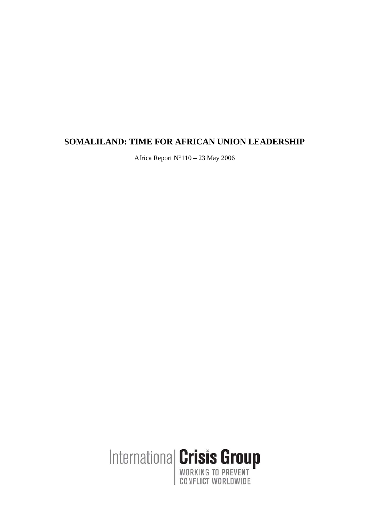# **SOMALILAND: TIME FOR AFRICAN UNION LEADERSHIP**

Africa Report N°110 – 23 May 2006

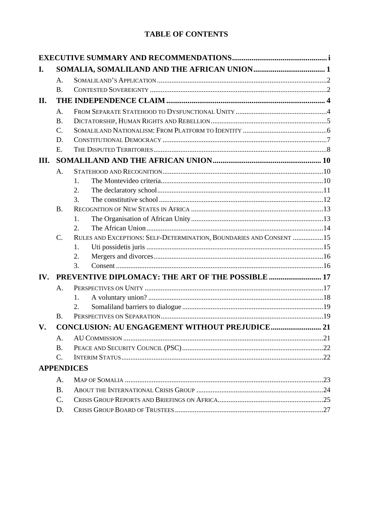# **TABLE OF CONTENTS**

| I.   |                 |                                                                     |  |  |
|------|-----------------|---------------------------------------------------------------------|--|--|
|      | $\mathsf{A}$ .  |                                                                     |  |  |
|      | <b>B.</b>       |                                                                     |  |  |
| II.  |                 |                                                                     |  |  |
|      | A.              |                                                                     |  |  |
|      | <b>B.</b>       |                                                                     |  |  |
|      | $\mathcal{C}$ . |                                                                     |  |  |
|      | D.              |                                                                     |  |  |
|      | E.              |                                                                     |  |  |
| III. |                 |                                                                     |  |  |
|      | A.              |                                                                     |  |  |
|      |                 | 1.                                                                  |  |  |
|      |                 | 2.                                                                  |  |  |
|      |                 | 3.                                                                  |  |  |
|      | <b>B.</b>       |                                                                     |  |  |
|      |                 | 1.                                                                  |  |  |
|      |                 | 2.                                                                  |  |  |
|      | $C_{\cdot}$     | RULES AND EXCEPTIONS: SELF-DETERMINATION, BOUNDARIES AND CONSENT 15 |  |  |
|      |                 | 1.                                                                  |  |  |
|      |                 | 2.                                                                  |  |  |
|      |                 | 3.                                                                  |  |  |
| IV.  |                 |                                                                     |  |  |
|      | Α.              |                                                                     |  |  |
|      |                 | 1.                                                                  |  |  |
|      |                 | 2.                                                                  |  |  |
|      | $\mathbf{B}$ .  |                                                                     |  |  |
| V.   |                 | <b>CONCLUSION: AU ENGAGEMENT WITHOUT PREJUDICE 21</b>               |  |  |
|      | A.              |                                                                     |  |  |
|      | <b>B.</b>       |                                                                     |  |  |
|      | $\mathcal{C}$ . |                                                                     |  |  |
|      |                 | <b>APPENDICES</b>                                                   |  |  |
|      | A.              |                                                                     |  |  |
|      | <b>B.</b>       |                                                                     |  |  |
|      | $\mathcal{C}$ . |                                                                     |  |  |
|      | D.              |                                                                     |  |  |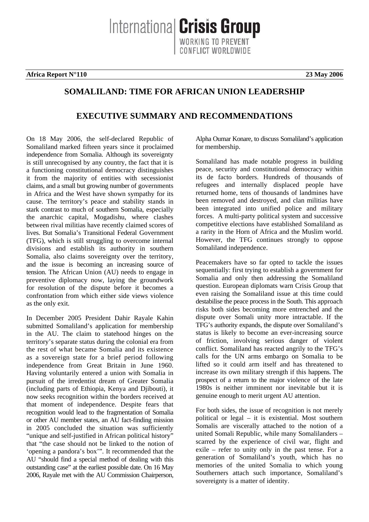International Crisis Group ONFLICT WORLDWIDE

**Africa Report N°110 23 May 2006**

## **SOMALILAND: TIME FOR AFRICAN UNION LEADERSHIP**

# **EXECUTIVE SUMMARY AND RECOMMENDATIONS**

On 18 May 2006, the self-declared Republic of Somaliland marked fifteen years since it proclaimed independence from Somalia. Although its sovereignty is still unrecognised by any country, the fact that it is a functioning constitutional democracy distinguishes it from the majority of entities with secessionist claims, and a small but growing number of governments in Africa and the West have shown sympathy for its cause. The territory's peace and stability stands in stark contrast to much of southern Somalia, especially the anarchic capital, Mogadishu, where clashes between rival militias have recently claimed scores of lives. But Somalia's Transitional Federal Government (TFG), which is still struggling to overcome internal divisions and establish its authority in southern Somalia, also claims sovereignty over the territory, and the issue is becoming an increasing source of tension. The African Union (AU) needs to engage in preventive diplomacy now, laying the groundwork for resolution of the dispute before it becomes a confrontation from which either side views violence as the only exit.

In December 2005 President Dahir Rayale Kahin submitted Somaliland's application for membership in the AU. The claim to statehood hinges on the territory's separate status during the colonial era from the rest of what became Somalia and its existence as a sovereign state for a brief period following independence from Great Britain in June 1960. Having voluntarily entered a union with Somalia in pursuit of the irredentist dream of Greater Somalia (including parts of Ethiopia, Kenya and Djibouti), it now seeks recognition within the borders received at that moment of independence. Despite fears that recognition would lead to the fragmentation of Somalia or other AU member states, an AU fact-finding mission in 2005 concluded the situation was sufficiently "unique and self-justified in African political history" that "the case should not be linked to the notion of 'opening a pandora's box'". It recommended that the AU "should find a special method of dealing with this outstanding case" at the earliest possible date. On 16 May 2006, Rayale met with the AU Commission Chairperson, Alpha Oumar Konare, to discuss Somaliland's application for membership.

Somaliland has made notable progress in building peace, security and constitutional democracy within its de facto borders. Hundreds of thousands of refugees and internally displaced people have returned home, tens of thousands of landmines have been removed and destroyed, and clan militias have been integrated into unified police and military forces. A multi-party political system and successive competitive elections have established Somaliland as a rarity in the Horn of Africa and the Muslim world. However, the TFG continues strongly to oppose Somaliland independence.

Peacemakers have so far opted to tackle the issues sequentially: first trying to establish a government for Somalia and only then addressing the Somaliland question. European diplomats warn Crisis Group that even raising the Somaliland issue at this time could destabilise the peace process in the South. This approach risks both sides becoming more entrenched and the dispute over Somali unity more intractable. If the TFG's authority expands, the dispute over Somaliland's status is likely to become an ever-increasing source of friction, involving serious danger of violent conflict. Somaliland has reacted angrily to the TFG's calls for the UN arms embargo on Somalia to be lifted so it could arm itself and has threatened to increase its own military strength if this happens. The prospect of a return to the major violence of the late 1980s is neither imminent nor inevitable but it is genuine enough to merit urgent AU attention.

For both sides, the issue of recognition is not merely political or legal – it is existential. Most southern Somalis are viscerally attached to the notion of a united Somali Republic, while many Somalilanders – scarred by the experience of civil war, flight and exile – refer to unity only in the past tense. For a generation of Somaliland's youth, which has no memories of the united Somalia to which young Southerners attach such importance, Somaliland's sovereignty is a matter of identity.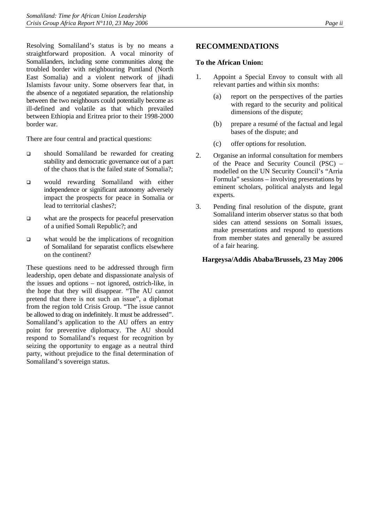Resolving Somaliland's status is by no means a straightforward proposition. A vocal minority of Somalilanders, including some communities along the troubled border with neighbouring Puntland (North East Somalia) and a violent network of jihadi Islamists favour unity. Some observers fear that, in the absence of a negotiated separation, the relationship between the two neighbours could potentially become as ill-defined and volatile as that which prevailed between Ethiopia and Eritrea prior to their 1998-2000 border war.

There are four central and practical questions:

- should Somaliland be rewarded for creating stability and democratic governance out of a part of the chaos that is the failed state of Somalia?;
- would rewarding Somaliland with either independence or significant autonomy adversely impact the prospects for peace in Somalia or lead to territorial clashes?;
- what are the prospects for peaceful preservation of a unified Somali Republic?; and
- $\Box$  what would be the implications of recognition of Somaliland for separatist conflicts elsewhere on the continent?

These questions need to be addressed through firm leadership, open debate and dispassionate analysis of the issues and options – not ignored, ostrich-like, in the hope that they will disappear. "The AU cannot pretend that there is not such an issue", a diplomat from the region told Crisis Group. "The issue cannot be allowed to drag on indefinitely. It must be addressed". Somaliland's application to the AU offers an entry point for preventive diplomacy. The AU should respond to Somaliland's request for recognition by seizing the opportunity to engage as a neutral third party, without prejudice to the final determination of Somaliland's sovereign status.

## **RECOMMENDATIONS**

#### **To the African Union:**

- 1. Appoint a Special Envoy to consult with all relevant parties and within six months:
	- (a) report on the perspectives of the parties with regard to the security and political dimensions of the dispute;
	- (b) prepare a resumé of the factual and legal bases of the dispute; and
	- (c) offer options for resolution.
- 2. Organise an informal consultation for members of the Peace and Security Council (PSC) – modelled on the UN Security Council's "Arria Formula" sessions – involving presentations by eminent scholars, political analysts and legal experts.
- 3. Pending final resolution of the dispute, grant Somaliland interim observer status so that both sides can attend sessions on Somali issues, make presentations and respond to questions from member states and generally be assured of a fair hearing.

#### **Hargeysa/Addis Ababa/Brussels, 23 May 2006**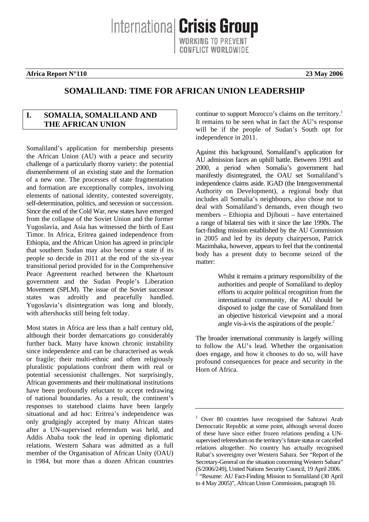Internationa **Crisis Group CONFLICT WORLDWIDE** 

#### **Africa Report N°110 23 May 2006**

# **SOMALILAND: TIME FOR AFRICAN UNION LEADERSHIP**

### **I. SOMALIA, SOMALILAND AND THE AFRICAN UNION**

Somaliland's application for membership presents the African Union (AU) with a peace and security challenge of a particularly thorny variety: the potential dismemberment of an existing state and the formation of a new one. The processes of state fragmentation and formation are exceptionally complex, involving elements of national identity, contested sovereignty, self-determination, politics, and secession or succession. Since the end of the Cold War, new states have emerged from the collapse of the Soviet Union and the former Yugoslavia, and Asia has witnessed the birth of East Timor. In Africa, Eritrea gained independence from Ethiopia, and the African Union has agreed in principle that southern Sudan may also become a state if its people so decide in 2011 at the end of the six-year transitional period provided for in the Comprehensive Peace Agreement reached between the Khartoum government and the Sudan People's Liberation Movement (SPLM). The issue of the Soviet successor states was adroitly and peacefully handled. Yugoslavia's disintegration was long and bloody, with aftershocks still being felt today.

Most states in Africa are less than a half century old, although their border demarcations go considerably further back. Many have known chronic instability since independence and can be characterised as weak or fragile; their multi-ethnic and often religiously pluralistic populations confront them with real or potential secessionist challenges. Not surprisingly, African governments and their multinational institutions have been profoundly reluctant to accept redrawing of national boundaries. As a result, the continent's responses to statehood claims have been largely situational and ad hoc: Eritrea's independence was only grudgingly accepted by many African states after a UN-supervised referendum was held, and Addis Ababa took the lead in opening diplomatic relations. Western Sahara was admitted as a full member of the Organisation of African Unity (OAU) in 1984, but more than a dozen African countries

continue to support Morocco's claims on the territory. [1](#page-4-0) It remains to be seen what in fact the AU's response will be if the people of Sudan's South opt for independence in 2011.

Against this background, Somaliland's application for AU admission faces an uphill battle. Between 1991 and 2000, a period when Somalia's government had manifestly disintegrated, the OAU set Somaliland's independence claims aside. IGAD (the Intergovernmental Authority on Development), a regional body that includes all Somalia's neighbours, also chose not to deal with Somaliland's demands, even though two members – Ethiopia and Djibouti – have entertained a range of bilateral ties with it since the late 1990s. The fact-finding mission established by the AU Commission in 2005 and led by its deputy chairperson, Patrick Mazimhaka, however, appears to feel that the continental body has a present duty to become seized of the matter:

> Whilst it remains a primary responsibility of the authorities and people of Somaliland to deploy efforts to acquire political recognition from the international community, the AU should be disposed to judge the case of Somaliland from an objective historical viewpoint and a moral angle vis-à-vis the aspirations of the people. $2$

The broader international community is largely willing to follow the AU's lead. Whether the organisation does engage, and how it chooses to do so, will have profound consequences for peace and security in the Horn of Africa.

<span id="page-4-1"></span><span id="page-4-0"></span><sup>1</sup> Over 80 countries have recognised the Sahrawi Arab Democratic Republic at some point, although several dozen of these have since either frozen relations pending a UNsupervised referendum on the territory's future status or cancelled relations altogether. No country has actually recognised Rabat's sovereignty over Western Sahara. See "Report of the Secretary-General on the situation concerning Western Sahara" (S/2006/249), United Nations Security Council, 19 April 2006.<br><sup>2</sup> "Resume: AU Fact-Finding Mission to Somaliland (30 April to 4 May 2005)", African Union Commission, paragraph 10.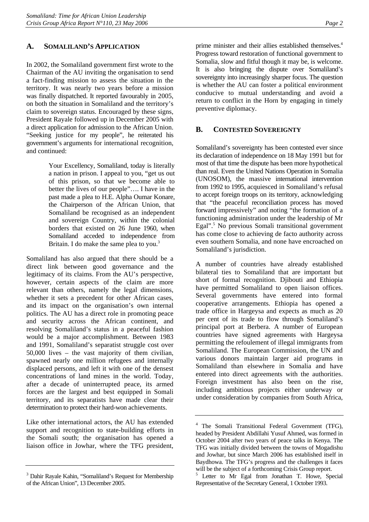### <span id="page-5-0"></span>**A. SOMALILAND'S APPLICATION**

In 2002, the Somaliland government first wrote to the Chairman of the AU inviting the organisation to send a fact-finding mission to assess the situation in the territory. It was nearly two years before a mission was finally dispatched. It reported favourably in 2005, on both the situation in Somaliland and the territory's claim to sovereign status. Encouraged by these signs, President Rayale followed up in December 2005 with a direct application for admission to the African Union. "Seeking justice for my people", he reiterated his government's arguments for international recognition, and continued:

> Your Excellency, Somaliland, today is literally a nation in prison. I appeal to you, "get us out of this prison, so that we become able to better the lives of our people"…. I have in the past made a plea to H.E. Alpha Oumar Konare, the Chairperson of the African Union, that Somaliland be recognised as an independent and sovereign Country, within the colonial borders that existed on 26 June 1960, when Somaliland acceded to independence from Britain. I do make the same plea to you.<sup>[3](#page-5-1)</sup>

Somaliland has also argued that there should be a direct link between good governance and the legitimacy of its claims. From the AU's perspective, however, certain aspects of the claim are more relevant than others, namely the legal dimensions, whether it sets a precedent for other African cases, and its impact on the organisation's own internal politics. The AU has a direct role in promoting peace and security across the African continent, and resolving Somaliland's status in a peaceful fashion would be a major accomplishment. Between 1983 and 1991, Somaliland's separatist struggle cost over 50,000 lives – the vast majority of them civilian, spawned nearly one million refugees and internally displaced persons, and left it with one of the densest concentrations of land mines in the world. Today, after a decade of uninterrupted peace, its armed forces are the largest and best equipped in Somali territory, and its separatists have made clear their determination to protect their hard-won achievements.

Like other international actors, the AU has extended support and recognition to state-building efforts in the Somali south; the organisation has opened a liaison office in Jowhar, where the TFG president, prime minister and their allies established themselves.<sup>[4](#page-5-2)</sup> Progress toward restoration of functional government to Somalia, slow and fitful though it may be, is welcome. It is also bringing the dispute over Somaliland's sovereignty into increasingly sharper focus. The question is whether the AU can foster a political environment conducive to mutual understanding and avoid a return to conflict in the Horn by engaging in timely preventive diplomacy.

### **B. CONTESTED SOVEREIGNTY**

Somaliland's sovereignty has been contested ever since its declaration of independence on 18 May 1991 but for most of that time the dispute has been more hypothetical than real. Even the United Nations Operation in Somalia (UNOSOM), the massive international intervention from 1992 to 1995, acquiesced in Somaliland's refusal to accept foreign troops on its territory, acknowledging that "the peaceful reconciliation process has moved forward impressively" and noting "the formation of a functioning administration under the leadership of Mr Egal".<sup>5</sup> No previous Somali transitional government has come close to achieving de facto authority across even southern Somalia, and none have encroached on Somaliland's jurisdiction.

A number of countries have already established bilateral ties to Somaliland that are important but short of formal recognition. Djibouti and Ethiopia have permitted Somaliland to open liaison offices. Several governments have entered into formal cooperative arrangements. Ethiopia has opened a trade office in Hargeysa and expects as much as 20 per cent of its trade to flow through Somaliland's principal port at Berbera. A number of European countries have signed agreements with Hargeysa permitting the refoulement of illegal immigrants from Somaliland. The European Commission, the UN and various donors maintain larger aid programs in Somaliland than elsewhere in Somalia and have entered into direct agreements with the authorities. Foreign investment has also been on the rise, including ambitious projects either underway or under consideration by companies from South Africa,

<span id="page-5-1"></span><sup>&</sup>lt;sup>3</sup> Dahir Rayale Kahin, "Somaliland's Request for Membership of the African Union", 13 December 2005.

<span id="page-5-2"></span><sup>4</sup> The Somali Transitional Federal Government (TFG), headed by President Abdillahi Yusuf Ahmed, was formed in October 2004 after two years of peace talks in Kenya. The TFG was initially divided between the towns of Mogadishu and Jowhar, but since March 2006 has established itself in Baydhowa. The TFG's progress and the challenges it faces will be the subject of a forthcoming Crisis Group report.

<span id="page-5-3"></span><sup>&</sup>lt;sup>5</sup> Letter to Mr Egal from Jonathan T. Howe, Special Representative of the Secretary General, 1 October 1993.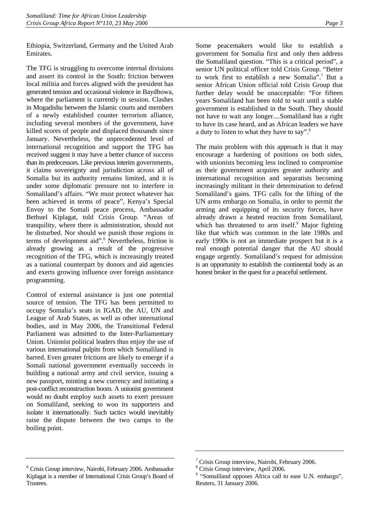Ethiopia, Switzerland, Germany and the United Arab Emirates.

The TFG is struggling to overcome internal divisions and assert its control in the South: friction between local militia and forces aligned with the president has generated tension and occasional violence in Baydhowa, where the parliament is currently in session. Clashes in Mogadishu between the Islamic courts and members of a newly established counter terrorism alliance, including several members of the government, have killed scores of people and displaced thousands since January. Nevertheless, the unprecedented level of international recognition and support the TFG has received suggest it may have a better chance of success than its predecessors. Like previous interim governments, it claims sovereignty and jurisdiction across all of Somalia but its authority remains limited, and it is under some diplomatic pressure not to interfere in Somaliland's affairs. "We must protect whatever has been achieved in terms of peace", Kenya's Special Envoy to the Somali peace process, Ambassador Bethuel Kiplagat, told Crisis Group. "Areas of tranquility, where there is administration, should not be disturbed. Nor should we punish those regions in terms of development aid".<sup>[6](#page-6-0)</sup> Nevertheless, friction is already growing as a result of the progressive recognition of the TFG, which is increasingly treated as a national counterpart by donors and aid agencies and exerts growing influence over foreign assistance programming.

Control of external assistance is just one potential source of tension. The TFG has been permitted to occupy Somalia's seats in IGAD, the AU, UN and League of Arab States, as well as other international bodies, and in May 2006, the Transitional Federal Parliament was admitted to the Inter-Parliamentary Union. Unionist political leaders thus enjoy the use of various international pulpits from which Somaliland is barred. Even greater frictions are likely to emerge if a Somali national government eventually succeeds in building a national army and civil service, issuing a new passport, minting a new currency and initiating a post-conflict reconstruction boom. A unionist government would no doubt employ such assets to exert pressure on Somaliland, seeking to woo its supporters and isolate it internationally. Such tactics would inevitably raise the dispute between the two camps to the boiling point.

<span id="page-6-0"></span>6 Crisis Group interview, Nairobi, February 2006. Ambassador Kiplagat is a member of International Crisis Group's Board of Trustees.

Some peacemakers would like to establish a government for Somalia first and only then address the Somaliland question. "This is a critical period", a senior UN political officer told Crisis Group. "Better to work first to establish a new Somalia".[7](#page-6-1) But a senior African Union official told Crisis Group that further delay would be unacceptable: "For fifteen years Somaliland has been told to wait until a stable government is established in the South. They should not have to wait any longer....Somaliland has a right to have its case heard, and as African leaders we have a duty to listen to what they have to say".[8](#page-6-2)

The main problem with this approach is that it may encourage a hardening of positions on both sides, with unionists becoming less inclined to compromise as their government acquires greater authority and international recognition and separatists becoming increasingly militant in their determination to defend Somaliland's gains. TFG calls for the lifting of the UN arms embargo on Somalia, in order to permit the arming and equipping of its security forces, have already drawn a heated reaction from Somaliland, which has threatened to arm itself.<sup>[9](#page-6-3)</sup> Major fighting like that which was common in the late 1980s and early 1990s is not an immediate prospect but it is a real enough potential danger that the AU should engage urgently. Somaliland's request for admission is an opportunity to establish the continental body as an honest broker in the quest for a peaceful settlement.

<span id="page-6-1"></span><sup>&</sup>lt;sup>7</sup> Crisis Group interview, Nairobi, February 2006.

<span id="page-6-2"></span><sup>8</sup> Crisis Group interview, April 2006.

<span id="page-6-3"></span><sup>&</sup>lt;sup>9</sup> "Somaliland opposes Africa call to ease U.N. embargo", Reuters, 31 January 2006.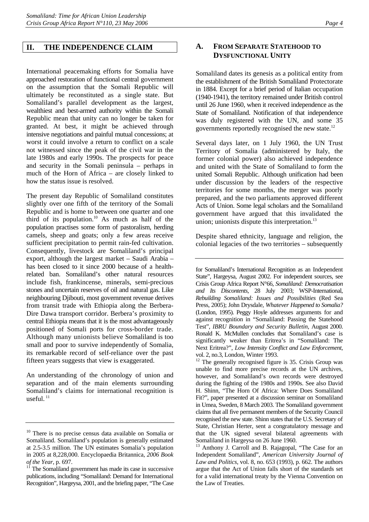#### <span id="page-7-0"></span>**II. THE INDEPENDENCE CLAIM**

International peacemaking efforts for Somalia have approached restoration of functional central government on the assumption that the Somali Republic will ultimately be reconstituted as a single state. But Somaliland's parallel development as the largest, wealthiest and best-armed authority within the Somali Republic mean that unity can no longer be taken for granted. At best, it might be achieved through intensive negotiations and painful mutual concessions; at worst it could involve a return to conflict on a scale not witnessed since the peak of the civil war in the late 1980s and early 1990s. The prospects for peace and security in the Somali peninsula – perhaps in much of the Horn of Africa – are closely linked to how the status issue is resolved.

The present day Republic of Somaliland constitutes slightly over one fifth of the territory of the Somali Republic and is home to between one quarter and one third of its population[.10](#page-7-1) As much as half of the population practises some form of pastoralism, herding camels, sheep and goats; only a few areas receive sufficient precipitation to permit rain-fed cultivation. Consequently, livestock are Somaliland's principal export, although the largest market – Saudi Arabia – has been closed to it since 2000 because of a healthrelated ban. Somaliland's other natural resources include fish, frankincense, minerals, semi-precious stones and uncertain reserves of oil and natural gas. Like neighbouring Djibouti, most government revenue derives from transit trade with Ethiopia along the Berbera-Dire Dawa transport corridor. Berbera's proximity to central Ethiopia means that it is the most advantageously positioned of Somali ports for cross-border trade. Although many unionists believe Somaliland is too small and poor to survive independently of Somalia, its remarkable record of self-reliance over the past fifteen years suggests that view is exaggerated.

An understanding of the chronology of union and separation and of the main elements surrounding Somaliland's claims for international recognition is useful. $^{11}$ 

## **A. FROM SEPARATE STATEHOOD TO DYSFUNCTIONAL UNITY**

Somaliland dates its genesis as a political entity from the establishment of the British Somaliland Protectorate in 1884. Except for a brief period of Italian occupation (1940-1941), the territory remained under British control until 26 June 1960, when it received independence as the State of Somaliland. Notification of that independence was duly registered with the UN, and some 35 governments reportedly recognised the new state.[12](#page-7-3)

Several days later, on 1 July 1960, the UN Trust Territory of Somalia (administered by Italy, the former colonial power) also achieved independence and united with the State of Somaliland to form the united Somali Republic. Although unification had been under discussion by the leaders of the respective territories for some months, the merger was poorly prepared, and the two parliaments approved different Acts of Union. Some legal scholars and the Somaliland government have argued that this invalidated the union; unionists dispute this interpretation. $^{13}$ 

Despite shared ethnicity, language and religion, the colonial legacies of the two territories – subsequently

for Somaliland's International Recognition as an Independent State", Hargeysa, August 2002. For independent sources, see Crisis Group Africa Report N°66, *Somaliland: Democratisation and Its Discontents*, 28 July 2003; WSP-International, *Rebuilding Somaliland: Issues and Possibilities* (Red Sea Press, 2005); John Drysdale, *Whatever Happened to Somalia?* (London, 1995). Peggy Hoyle addresses arguments for and against recognition in "Somaliland: Passing the Statehood Test", *IBRU Boundary and Security Bulletin*, August 2000. Ronald K. McMullen concludes that Somaliland's case is significantly weaker than Eritrea's in "Somaliland: The Next Eritrea?", *Low Intensity Conflict and Law Enforcement*, vol. 2, no.3, London, Winter 1993.

<span id="page-7-3"></span><sup>12</sup> The generally recognised figure is 35. Crisis Group was unable to find more precise records at the UN archives, however, and Somaliland's own records were destroyed during the fighting of the 1980s and 1990s. See also David H. Shinn, "The Horn Of Africa: Where Does Somaliland Fit?", paper presented at a discussion seminar on Somaliland in Umea, Sweden, 8 March 2003. The Somaliland government claims that all five permanent members of the Security Council recognised the new state. Shinn states that the U.S. Secretary of State, Christian Herter, sent a congratulatory message and that the UK signed several bilateral agreements with Somaliland in Hargeysa on 26 June 1960.

<span id="page-7-4"></span> $13$  Anthony J. Carroll and B. Rajagopal, "The Case for an Independent Somaliland", *American University Journal of Law and Politics*, vol. 8, no. 653 (1993), p. 662. The authors argue that the Act of Union falls short of the standards set for a valid international treaty by the Vienna Convention on the Law of Treaties.

<span id="page-7-1"></span><sup>&</sup>lt;sup>10</sup> There is no precise census data available on Somalia or Somaliland. Somaliland's population is generally estimated at 2.5-3.5 million. The UN estimates Somalia's population in 2005 at 8,228,000. Encyclopaedia Britannica, *2006 Book* 

<span id="page-7-2"></span>The Somaliland government has made its case in successive publications, including "Somaliland: Demand for International Recognition", Hargeysa, 2001, and the briefing paper, "The Case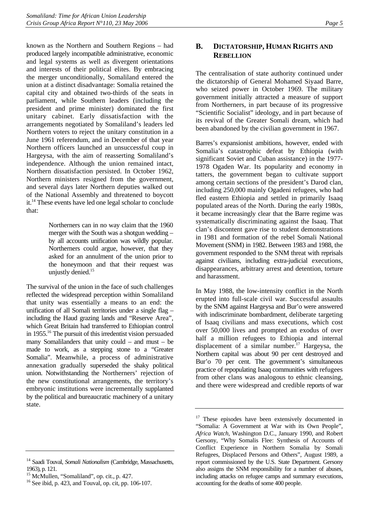<span id="page-8-0"></span>known as the Northern and Southern Regions – had produced largely incompatible administrative, economic and legal systems as well as divergent orientations and interests of their political elites. By embracing the merger unconditionally, Somaliland entered the union at a distinct disadvantage: Somalia retained the capital city and obtained two-thirds of the seats in parliament, while Southern leaders (including the president and prime minister) dominated the first unitary cabinet. Early dissatisfaction with the arrangements negotiated by Somaliland's leaders led Northern voters to reject the unitary constitution in a June 1961 referendum, and in December of that year Northern officers launched an unsuccessful coup in Hargeysa, with the aim of reasserting Somaliland's independence. Although the union remained intact, Northern dissatisfaction persisted. In October 1962, Northern ministers resigned from the government, and several days later Northern deputies walked out of the National Assembly and threatened to boycott it[.14](#page-8-1) These events have led one legal scholar to conclude that:

> Northerners can in no way claim that the 1960 merger with the South was a shotgun wedding – by all accounts unification was wildly popular. Northerners could argue, however, that they asked for an annulment of the union prior to the honeymoon and that their request was unjustly denied.<sup>15</sup>

The survival of the union in the face of such challenges reflected the widespread perception within Somaliland that unity was essentially a means to an end: the unification of all Somali territories under a single flag – including the Haud grazing lands and "Reserve Area", which Great Britain had transferred to Ethiopian control in 1955[.16](#page-8-3) The pursuit of this irredentist vision persuaded many Somalilanders that unity could – and must – be made to work, as a stepping stone to a "Greater Somalia". Meanwhile, a process of administrative annexation gradually superseded the shaky political union. Notwithstanding the Northerners' rejection of the new constitutional arrangements, the territory's embryonic institutions were incrementally supplanted by the political and bureaucratic machinery of a unitary state.

#### <span id="page-8-1"></span>14 Saadi Touval, *Somali Nationalism* (Cambridge, Massachusetts, 1963), p. 121.

## **B. DICTATORSHIP, HUMAN RIGHTS AND REBELLION**

The centralisation of state authority continued under the dictatorship of General Mohamed Siyaad Barre, who seized power in October 1969. The military government initially attracted a measure of support from Northerners, in part because of its progressive "Scientific Socialist" ideology, and in part because of its revival of the Greater Somali dream, which had been abandoned by the civilian government in 1967.

Barres's expansionist ambitions, however, ended with Somalia's catastrophic defeat by Ethiopia (with significant Soviet and Cuban assistance) in the 1977- 1978 Ogaden War. Its popularity and economy in tatters, the government began to cultivate support among certain sections of the president's Darod clan, including 250,000 mainly Ogadeni refugees, who had fled eastern Ethiopia and settled in primarily Isaaq populated areas of the North. During the early 1980s, it became increasingly clear that the Barre regime was systematically discriminating against the Isaaq. That clan's discontent gave rise to student demonstrations in 1981 and formation of the rebel Somali National Movement (SNM) in 1982. Between 1983 and 1988, the government responded to the SNM threat with reprisals against civilians, including extra-judicial executions, disappearances, arbitrary arrest and detention, torture and harassment.

In May 1988, the low-intensity conflict in the North erupted into full-scale civil war. Successful assaults by the SNM against Hargeysa and Bur'o were answered with indiscriminate bombardment, deliberate targeting of Isaaq civilians and mass executions, which cost over 50,000 lives and prompted an exodus of over half a million refugees to Ethiopia and internal displacement of a similar number.<sup>17</sup> Hargeysa, the Northern capital was about 90 per cent destroyed and Bur'o 70 per cent. The government's simultaneous practice of repopulating Isaaq communities with refugees from other clans was analogous to ethnic cleansing, and there were widespread and credible reports of war

<span id="page-8-2"></span><sup>&</sup>lt;sup>15</sup> McMullen, "Somaliland", op. cit., p. 427.

<span id="page-8-3"></span><sup>16</sup> See ibid, p. 423, and Touval, op. cit, pp. 106-107.

<span id="page-8-4"></span> $17$  These episodes have been extensively documented in "Somalia: A Government at War with its Own People", *Africa Watch*, Washington D.C., January 1990, and Robert Gersony, "Why Somalis Flee: Synthesis of Accounts of Conflict Experience in Northern Somalia by Somali Refugees, Displaced Persons and Others", August 1989, a report commissioned by the U.S. State Department. Gersony also assigns the SNM responsibility for a number of abuses, including attacks on refugee camps and summary executions, accounting for the deaths of some 400 people.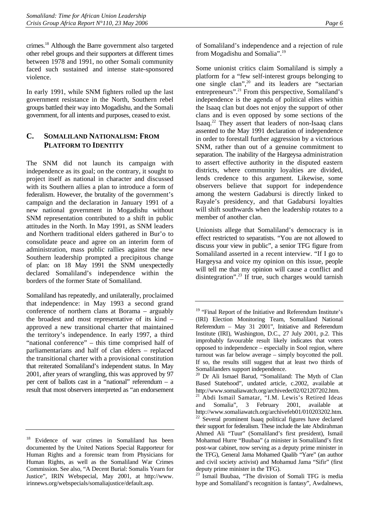<span id="page-9-0"></span>crimes.[18](#page-9-1) Although the Barre government also targeted other rebel groups and their supporters at different times between 1978 and 1991, no other Somali community faced such sustained and intense state-sponsored violence.

In early 1991, while SNM fighters rolled up the last government resistance in the North, Southern rebel groups battled their way into Mogadishu, and the Somali government, for all intents and purposes, ceased to exist.

## **C. SOMALILAND NATIONALISM: FROM PLATFORM TO IDENTITY**

The SNM did not launch its campaign with independence as its goal; on the contrary, it sought to project itself as national in character and discussed with its Southern allies a plan to introduce a form of federalism. However, the brutality of the government's campaign and the declaration in January 1991 of a new national government in Mogadishu without SNM representation contributed to a shift in public attitudes in the North. In May 1991, as SNM leaders and Northern traditional elders gathered in Bur'o to consolidate peace and agree on an interim form of administration, mass public rallies against the new Southern leadership prompted a precipitous change of plan: on 18 May 1991 the SNM unexpectedly declared Somaliland's independence within the borders of the former State of Somaliland.

Somaliland has repeatedly, and unilaterally, proclaimed that independence: in May 1993 a second grand conference of northern clans at Borama – arguably the broadest and most representative of its kind – approved a new transitional charter that maintained the territory's independence. In early 1997, a third "national conference" – this time comprised half of parliamentarians and half of clan elders – replaced the transitional charter with a provisional constitution that reiterated Somaliland's independent status. In May 2001, after years of wrangling, this was approved by 97 per cent of ballots cast in a "national" referendum – a result that most observers interpreted as "an endorsement of Somaliland's independence and a rejection of rule from Mogadishu and Somalia".[19](#page-9-2)

Some unionist critics claim Somaliland is simply a platform for a "few self-interest groups belonging to one single clan",<sup>20</sup> and its leaders are "sectarian" entrepreneurs".<sup>21</sup> From this perspective, Somaliland's independence is the agenda of political elites within the Isaaq clan but does not enjoy the support of other clans and is even opposed by some sections of the Isaaq[.22](#page-9-5) They assert that leaders of non-Isaaq clans assented to the May 1991 declaration of independence in order to forestall further aggression by a victorious SNM, rather than out of a genuine commitment to separation. The inability of the Hargeysa administration to assert effective authority in the disputed eastern districts, where community loyalties are divided, lends credence to this argument. Likewise, some observers believe that support for independence among the western Gadabursi is directly linked to Rayale's presidency, and that Gadabursi loyalties will shift southwards when the leadership rotates to a member of another clan.

Unionists allege that Somaliland's democracy is in effect restricted to separatists. "You are not allowed to discuss your view in public", a senior TFG figure from Somaliland asserted in a recent interview. "If I go to Hargeysa and voice my opinion on this issue, people will tell me that my opinion will cause a conflict and disintegration".[23](#page-9-6) If true, such charges would tarnish

<span id="page-9-6"></span><sup>23</sup> Ismail Buubaa, "The division of Somali TFG is media hype and Somaliland's recognition is fantasy", Awdalnews,

<span id="page-9-1"></span><sup>18</sup> Evidence of war crimes in Somaliland has been documented by the United Nations Special Rapporteur for Human Rights and a forensic team from Physicians for Human Rights, as well as the Somaliland War Crimes Commission. See also, "A Decent Burial: Somalis Yearn for Justice", IRIN Webspecial, May 2001, at http://www. irinnews.org/webspecials/somaliajustice/default.asp.

<span id="page-9-2"></span><sup>&</sup>lt;sup>19</sup> "Final Report of the Initiative and Referendum Institute's (IRI) Election Monitoring Team, Somaliland National Referendum – May 31 2001", Initiative and Referendum Institute (IRI), Washington, D.C., 27 July 2001, p.2. This improbably favourable result likely indicates that voters opposed to independence – especially in Sool region, where turnout was far below average – simply boycotted the poll. If so, the results still suggest that at least two thirds of Somalilanders support independence.

<span id="page-9-3"></span><sup>20</sup> Dr Ali Ismael Barud, "Somaliland: The Myth of Clan Based Statehood", undated article, c.2002, available at http://www.somaliawatch.org/archivedec02/021207202.htm.

<span id="page-9-5"></span><span id="page-9-4"></span><sup>&</sup>lt;sup>21</sup> Abdi Ismail Samatar, "I.M. Lewis's Retired Ideas and Somalia"*,* 3 February 2001, available at http://www.somaliawatch.org/archivefeb01/010203202.htm. <sup>22</sup> Several prominent Isaaq political figures have declared their support for federalism. These include the late Abdirahman Ahmed Ali "Tuur" (Somaliland's first president), Ismail Mohamud Hurre "Buubaa" (a minister in Somaliland's first post-war cabinet, now serving as a deputy prime minister in the TFG), General Jama Mohamed Qaalib "Yare" (an author and civil society activist) and Mohamud Jama "Sifir" (first deputy prime minister in the TFG).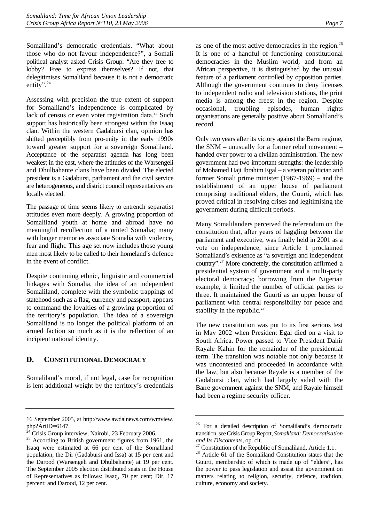<span id="page-10-0"></span>Somaliland's democratic credentials. "What about those who do not favour independence?", a Somali political analyst asked Crisis Group. "Are they free to lobby? Free to express themselves? If not, that delegitimises Somaliland because it is not a democratic entity".<sup>24</sup>

Assessing with precision the true extent of support for Somaliland's independence is complicated by lack of census or even voter registration data.<sup>25</sup> Such support has historically been strongest within the Isaaq clan. Within the western Gadabursi clan, opinion has shifted perceptibly from pro-unity in the early 1990s toward greater support for a sovereign Somaliland. Acceptance of the separatist agenda has long been weakest in the east, where the attitudes of the Warsengeli and Dhulbahante clans have been divided. The elected president is a Gadabursi, parliament and the civil service are heterogeneous, and district council representatives are locally elected.

The passage of time seems likely to entrench separatist attitudes even more deeply. A growing proportion of Somaliland youth at home and abroad have no meaningful recollection of a united Somalia; many with longer memories associate Somalia with violence, fear and flight. This age set now includes those young men most likely to be called to their homeland's defence in the event of conflict.

Despite continuing ethnic, linguistic and commercial linkages with Somalia, the idea of an independent Somaliland, complete with the symbolic trappings of statehood such as a flag, currency and passport, appears to command the loyalties of a growing proportion of the territory's population. The idea of a sovereign Somaliland is no longer the political platform of an armed faction so much as it is the reflection of an incipient national identity.

## **D. CONSTITUTIONAL DEMOCRACY**

Somaliland's moral, if not legal, case for recognition is lent additional weight by the territory's credentials as one of the most active democracies in the region. $26$ It is one of a handful of functioning constitutional democracies in the Muslim world, and from an African perspective, it is distinguished by the unusual feature of a parliament controlled by opposition parties. Although the government continues to deny licenses to independent radio and television stations, the print media is among the freest in the region. Despite occasional, troubling episodes, human rights organisations are generally positive about Somaliland's record.

Only two years after its victory against the Barre regime, the SNM – unusually for a former rebel movement – handed over power to a civilian administration. The new government had two important strengths: the leadership of Mohamed Haji Ibrahim Egal – a veteran politician and former Somali prime minister (1967-1969) – and the establishment of an upper house of parliament comprising traditional elders, the Guurti, which has proved critical in resolving crises and legitimising the government during difficult periods.

Many Somalilanders perceived the referendum on the constitution that, after years of haggling between the parliament and executive, was finally held in 2001 as a vote on independence, since Article 1 proclaimed Somaliland's existence as "a sovereign and independent country"[.27](#page-10-4) More concretely, the constitution affirmed a presidential system of government and a multi-party electoral democracy; borrowing from the Nigerian example, it limited the number of official parties to three. It maintained the Guurti as an upper house of parliament with central responsibility for peace and stability in the republic.<sup>28</sup>

The new constitution was put to its first serious test in May 2002 when President Egal died on a visit to South Africa. Power passed to Vice President Dahir Rayale Kahin for the remainder of the presidential term. The transition was notable not only because it was uncontested and proceeded in accordance with the law, but also because Rayale is a member of the Gadabursi clan, which had largely sided with the Barre government against the SNM, and Rayale himself had been a regime security officer.

<sup>16</sup> September 2005, at http://www.awdalnews.com/wmview. php?ArtID=6147.

<span id="page-10-1"></span> $4\overline{\text{C}}$ risis Group interview, Nairobi, 23 February 2006.

<span id="page-10-2"></span><sup>&</sup>lt;sup>25</sup> According to British government figures from 1961, the Isaaq were estimated at 66 per cent of the Somaliland population, the Dir (Gadabursi and Issa) at 15 per cent and the Darood (Warsengeli and Dhulbahante) at 19 per cent. The September 2005 election distributed seats in the House of Representatives as follows: Isaaq, 70 per cent; Dir, 17 percent; and Darood, 12 per cent.

<span id="page-10-3"></span><sup>26</sup> For a detailed description of Somaliland's democratic transition, see Crisis Group Report, *Somaliland: Democratisation and Its Discontents*, op. cit. <sup>27</sup> Constitution of the Republic of Somaliland, Article 1.1.

<span id="page-10-4"></span>

<span id="page-10-5"></span><sup>28</sup> Article 61 of the Somaliland Constitution states that the Guurti, membership of which is made up of "elders", has the power to pass legislation and assist the government on matters relating to religion, security, defence, tradition, culture, economy and society.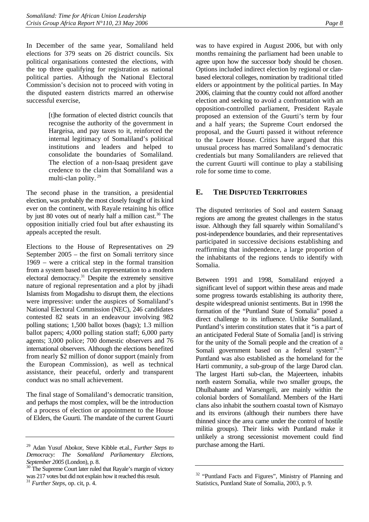<span id="page-11-0"></span>In December of the same year, Somaliland held elections for 379 seats on 26 district councils. Six political organisations contested the elections, with the top three qualifying for registration as national political parties. Although the National Electoral Commission's decision not to proceed with voting in the disputed eastern districts marred an otherwise successful exercise,

> [t]he formation of elected district councils that recognise the authority of the government in Hargeisa, and pay taxes to it, reinforced the internal legitimacy of Somaliland's political institutions and leaders and helped to consolidate the boundaries of Somaliland. The election of a non-Isaaq president gave credence to the claim that Somaliland was a multi-clan polity.<sup>29</sup>

The second phase in the transition, a presidential election, was probably the most closely fought of its kind ever on the continent, with Rayale retaining his office by just 80 votes out of nearly half a million cast.<sup>30</sup> The opposition initially cried foul but after exhausting its appeals accepted the result.

Elections to the House of Representatives on 29 September 2005 – the first on Somali territory since 1969 – were a critical step in the formal transition from a system based on clan representation to a modern electoral democracy.<sup>31</sup> Despite the extremely sensitive nature of regional representation and a plot by jihadi Islamists from Mogadishu to disrupt them, the elections were impressive: under the auspices of Somaliland's National Electoral Commission (NEC), 246 candidates contested 82 seats in an endeavour involving 982 polling stations; 1,500 ballot boxes (bags); 1.3 million ballot papers; 4,000 polling station staff; 6,000 party agents; 3,000 police; 700 domestic observers and 76 international observers. Although the elections benefited from nearly \$2 million of donor support (mainly from the European Commission), as well as technical assistance, their peaceful, orderly and transparent conduct was no small achievement.

The final stage of Somaliland's democratic transition, and perhaps the most complex, will be the introduction of a process of election or appointment to the House of Elders, the Guurti. The mandate of the current Guurti was to have expired in August 2006, but with only months remaining the parliament had been unable to agree upon how the successor body should be chosen. Options included indirect election by regional or clanbased electoral colleges, nomination by traditional titled elders or appointment by the political parties. In May 2006, claiming that the country could not afford another election and seeking to avoid a confrontation with an opposition-controlled parliament, President Rayale proposed an extension of the Guurti's term by four and a half years; the Supreme Court endorsed the proposal, and the Guurti passed it without reference to the Lower House. Critics have argued that this unusual process has marred Somaliland's democratic credentials but many Somalilanders are relieved that the current Guurti will continue to play a stabilising role for some time to come.

## **E. THE DISPUTED TERRITORIES**

The disputed territories of Sool and eastern Sanaag regions are among the greatest challenges in the status issue. Although they fall squarely within Somaliland's post-independence boundaries, and their representatives participated in successive decisions establishing and reaffirming that independence, a large proportion of the inhabitants of the regions tends to identify with Somalia.

Between 1991 and 1998, Somaliland enjoyed a significant level of support within these areas and made some progress towards establishing its authority there, despite widespread unionist sentiments. But in 1998 the formation of the "Puntland State of Somalia" posed a direct challenge to its influence. Unlike Somaliland, Puntland's interim constitution states that it "is a part of an anticipated Federal State of Somalia [and] is striving for the unity of the Somali people and the creation of a Somali government based on a federal system".<sup>32</sup> Puntland was also established as the homeland for the Harti community, a sub-group of the large Darod clan. The largest Harti sub-clan, the Majeerteen, inhabits north eastern Somalia, while two smaller groups, the Dhulbahante and Warsengeli, are mainly within the colonial borders of Somaliland. Members of the Harti clans also inhabit the southern coastal town of Kismayo and its environs (although their numbers there have thinned since the area came under the control of hostile militia groups). Their links with Puntland make it unlikely a strong secessionist movement could find purchase among the Harti.

<span id="page-11-1"></span><sup>29</sup> Adan Yusuf Abokor, Steve Kibble et.al., *Further Steps to Democracy: The Somaliland Parliamentary Elections, September 2005* (London), p. 8. 30 The Supreme Court later ruled that Rayale's margin of victory

<span id="page-11-2"></span>was 217 votes but did not explain how it reached this result.

<span id="page-11-3"></span><sup>31</sup> *Further Steps*, op. cit, p. 4.

<span id="page-11-4"></span><sup>&</sup>lt;sup>32</sup> "Puntland Facts and Figures", Ministry of Planning and Statistics, Puntland State of Somalia, 2003, p. 9.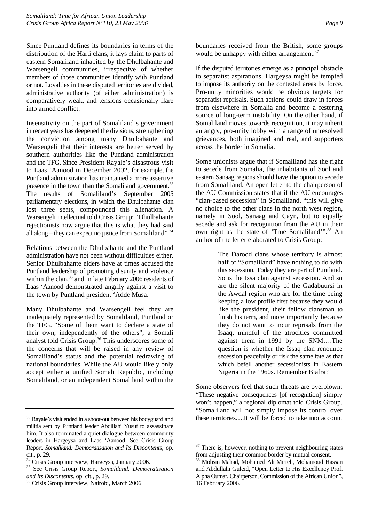Since Puntland defines its boundaries in terms of the distribution of the Harti clans, it lays claim to parts of eastern Somaliland inhabited by the Dhulbahante and Warsengeli communities, irrespective of whether members of those communities identify with Puntland or not. Loyalties in these disputed territories are divided, administrative authority (of either administration) is comparatively weak, and tensions occasionally flare into armed conflict.

Insensitivity on the part of Somaliland's government in recent years has deepened the divisions, strengthening the conviction among many Dhulbahante and Warsengeli that their interests are better served by southern authorities like the Puntland administration and the TFG. Since President Rayale's disastrous visit to Laas 'Aanood in December 2002, for example, the Puntland administration has maintained a more assertive presence in the town than the Somaliland government.<sup>33</sup> The results of Somaliland's September 2005 parliamentary elections, in which the Dhulbahante clan lost three seats, compounded this alienation. A Warsengeli intellectual told Crisis Group: "Dhulbahante rejectionists now argue that this is what they had said all along – they can expect no justice from Somaliland". $34$ 

Relations between the Dhulbahante and the Puntland administration have not been without difficulties either. Senior Dhulbahante elders have at times accused the Puntland leadership of promoting disunity and violence within the clan,<sup>35</sup> and in late February 2006 residents of Laas 'Aanood demonstrated angrily against a visit to the town by Puntland president 'Adde Musa.

Many Dhulbahante and Warsengeli feel they are inadequately represented by Somaliland, Puntland or the TFG. "Some of them want to declare a state of their own, independently of the others", a Somali analyst told Crisis Group.<sup>36</sup> This underscores some of the concerns that will be raised in any review of Somaliland's status and the potential redrawing of national boundaries. While the AU would likely only accept either a unified Somali Republic, including Somaliland, or an independent Somaliland within the boundaries received from the British, some groups would be unhappy with either arrangement. $37$ 

If the disputed territories emerge as a principal obstacle to separatist aspirations, Hargeysa might be tempted to impose its authority on the contested areas by force. Pro-unity minorities would be obvious targets for separatist reprisals. Such actions could draw in forces from elsewhere in Somalia and become a festering source of long-term instability. On the other hand, if Somaliland moves towards recognition, it may inherit an angry, pro-unity lobby with a range of unresolved grievances, both imagined and real, and supporters across the border in Somalia.

Some unionists argue that if Somaliland has the right to secede from Somalia, the inhabitants of Sool and eastern Sanaag regions should have the option to secede from Somaliland. An open letter to the chairperson of the AU Commission states that if the AU encourages "clan-based secession" in Somaliland, "this will give no choice to the other clans in the north west region, namely in Sool, Sanaag and Cayn, but to equally secede and ask for recognition from the AU in their own right as the state of 'True Somaliland'".<sup>38</sup> An author of the letter elaborated to Crisis Group:

> The Darood clans whose territory is almost half of "Somaliland" have nothing to do with this secession. Today they are part of Puntland. So is the Issa clan against secession. And so are the silent majority of the Gadabuursi in the Awdal region who are for the time being keeping a low profile first because they would like the president, their fellow clansman to finish his term, and more importantly because they do not want to incur reprisals from the Isaaq, mindful of the atrocities committed against them in 1991 by the SNM….The question is whether the Issaq clan renounce secession peacefully or risk the same fate as that which befell another secessionists in Eastern Nigeria in the 1960s. Remember Biafra?

Some observers feel that such threats are overblown: "These negative consequences [of recognition] simply won't happen," a regional diplomat told Crisis Group. "Somaliland will not simply impose its control over these territories….It will be forced to take into account

<span id="page-12-0"></span><sup>&</sup>lt;sup>33</sup> Rayale's visit ended in a shoot-out between his bodyguard and militia sent by Puntland leader Abdillahi Yusuf to assassinate him. It also terminated a quiet dialogue between community leaders in Hargeysa and Laas 'Aanood. See Crisis Group Report, *Somaliland: Democratisation and Its Discontents*, op. cit., p. 29.

<span id="page-12-1"></span><sup>&</sup>lt;sup>34</sup> Crisis Group interview, Hargeysa, January 2006.

<span id="page-12-2"></span><sup>35</sup> See Crisis Group Report, *Somaliland: Democratisation and Its Discontents,* op. cit., p. 29.36 Crisis Group interview, Nairobi, March 2006.

<span id="page-12-3"></span>

<span id="page-12-4"></span><sup>&</sup>lt;sup>37</sup> There is, however, nothing to prevent neighbouring states from adjusting their common border by mutual consent.

<span id="page-12-5"></span><sup>38</sup> Mohsin Mahad, Mohamed Ali Mirreh, Mohamoud Hassan and Abdullahi Guleid, "Open Letter to His Excellency Prof. Alpha Oumar, Chairperson, Commission of the African Union", 16 February 2006.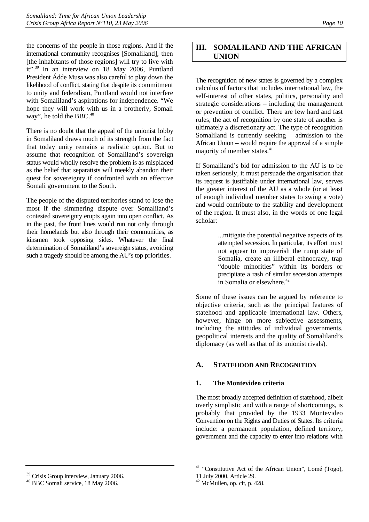<span id="page-13-0"></span>the concerns of the people in those regions. And if the international community recognises [Somaliland], then [the inhabitants of those regions] will try to live with it"[.39](#page-13-1) In an interview on 18 May 2006, Puntland President Ádde Musa was also careful to play down the likelihood of conflict, stating that despite its commitment to unity and federalism, Puntland would not interfere with Somaliland's aspirations for independence. "We hope they will work with us in a brotherly, Somali way", he told the BBC.<sup>40</sup>

There is no doubt that the appeal of the unionist lobby in Somaliland draws much of its strength from the fact that today unity remains a realistic option. But to assume that recognition of Somaliland's sovereign status would wholly resolve the problem is as misplaced as the belief that separatists will meekly abandon their quest for sovereignty if confronted with an effective Somali government to the South.

The people of the disputed territories stand to lose the most if the simmering dispute over Somaliland's contested sovereignty erupts again into open conflict. As in the past, the front lines would run not only through their homelands but also through their communities, as kinsmen took opposing sides. Whatever the final determination of Somaliland's sovereign status, avoiding such a tragedy should be among the AU's top priorities.

## **III. SOMALILAND AND THE AFRICAN UNION**

The recognition of new states is governed by a complex calculus of factors that includes international law, the self-interest of other states, politics, personality and strategic considerations – including the management or prevention of conflict. There are few hard and fast rules; the act of recognition by one state of another is ultimately a discretionary act. The type of recognition Somaliland is currently seeking – admission to the African Union – would require the approval of a simple majority of member states.<sup>41</sup>

If Somaliland's bid for admission to the AU is to be taken seriously, it must persuade the organisation that its request is justifiable under international law, serves the greater interest of the AU as a whole (or at least of enough individual member states to swing a vote) and would contribute to the stability and development of the region. It must also, in the words of one legal scholar:

> ...mitigate the potential negative aspects of its attempted secession. In particular, its effort must not appear to impoverish the rump state of Somalia, create an illiberal ethnocracy, trap "double minorities" within its borders or precipitate a rash of similar secession attempts in Somalia or elsewhere. $42$

Some of these issues can be argued by reference to objective criteria, such as the principal features of statehood and applicable international law. Others, however, hinge on more subjective assessments, including the attitudes of individual governments, geopolitical interests and the quality of Somaliland's diplomacy (as well as that of its unionist rivals).

## **A. STATEHOOD AND RECOGNITION**

### **1. The Montevideo criteria**

The most broadly accepted definition of statehood, albeit overly simplistic and with a range of shortcomings, is probably that provided by the 1933 Montevideo Convention on the Rights and Duties of States. Its criteria include: a permanent population, defined territory, government and the capacity to enter into relations with

<span id="page-13-1"></span><sup>39</sup> Crisis Group interview, January 2006.

<span id="page-13-2"></span><sup>40</sup> BBC Somali service, 18 May 2006.

<span id="page-13-3"></span><sup>&</sup>lt;sup>41</sup> "Constitutive Act of the African Union", Lomé (Togo), 11 July 2000, Article 29.

<span id="page-13-4"></span><sup>42</sup> McMullen, op. cit, p. 428.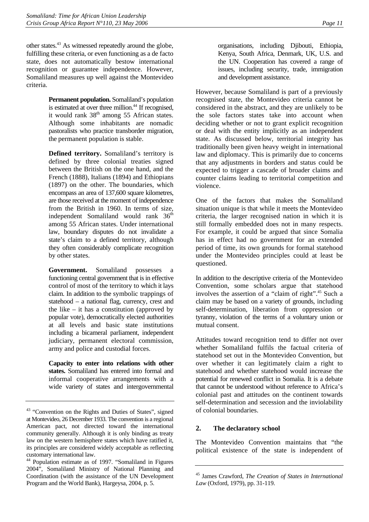<span id="page-14-0"></span>other states[.43](#page-14-1) As witnessed repeatedly around the globe, fulfilling these criteria, or even functioning as a de facto state, does not automatically bestow international recognition or guarantee independence. However, Somaliland measures up well against the Montevideo criteria.

> **Permanent population.** Somaliland's population is estimated at over three million.<sup>44</sup> If recognised, it would rank  $38<sup>th</sup>$  among 55 African states. Although some inhabitants are nomadic pastoralists who practice transborder migration, the permanent population is stable.

**Defined territory.** Somaliland's territory is defined by three colonial treaties signed between the British on the one hand, and the French (1888), Italians (1894) and Ethiopians (1897) on the other. The boundaries, which encompass an area of 137,600 square kilometres, are those received at the moment of independence from the British in 1960. In terms of size, independent Somaliland would rank 36<sup>th</sup> among 55 African states. Under international law, boundary disputes do not invalidate a state's claim to a defined territory, although they often considerably complicate recognition by other states.

**Government.** Somaliland possesses a functioning central government that is in effective control of most of the territory to which it lays claim. In addition to the symbolic trappings of statehood – a national flag, currency, crest and the like – it has a constitution (approved by popular vote), democratically elected authorities at all levels and basic state institutions including a bicameral parliament, independent judiciary, permanent electoral commission, army and police and custodial forces.

**Capacity to enter into relations with other states.** Somaliland has entered into formal and informal cooperative arrangements with a wide variety of states and intergovernmental

organisations, including Djibouti, Ethiopia, Kenya, South Africa, Denmark, UK, U.S. and the UN. Cooperation has covered a range of issues, including security, trade, immigration and development assistance.

However, because Somaliland is part of a previously recognised state, the Montevideo criteria cannot be considered in the abstract, and they are unlikely to be the sole factors states take into account when deciding whether or not to grant explicit recognition or deal with the entity implicitly as an independent state. As discussed below, territorial integrity has traditionally been given heavy weight in international law and diplomacy. This is primarily due to concerns that any adjustments in borders and status could be expected to trigger a cascade of broader claims and counter claims leading to territorial competition and violence.

One of the factors that makes the Somaliland situation unique is that while it meets the Montevideo criteria, the larger recognised nation in which it is still formally embedded does not in many respects. For example, it could be argued that since Somalia has in effect had no government for an extended period of time, its own grounds for formal statehood under the Montevideo principles could at least be questioned.

In addition to the descriptive criteria of the Montevideo Convention, some scholars argue that statehood involves the assertion of a "claim of right"[.45](#page-14-3) Such a claim may be based on a variety of grounds, including self-determination, liberation from oppression or tyranny, violation of the terms of a voluntary union or mutual consent.

Attitudes toward recognition tend to differ not over whether Somaliland fulfils the factual criteria of statehood set out in the Montevideo Convention, but over whether it can legitimately claim a right to statehood and whether statehood would increase the potential for renewed conflict in Somalia. It is a debate that cannot be understood without reference to Africa's colonial past and attitudes on the continent towards self-determination and secession and the inviolability of colonial boundaries.

### **2. The declaratory school**

The Montevideo Convention maintains that "the political existence of the state is independent of

<span id="page-14-1"></span><sup>43 &</sup>quot;Convention on the Rights and Duties of States"*,* signed at Montevideo, 26 December 1933. The convention is a regional American pact, not directed toward the international community generally. Although it is only binding as treaty law on the western hemisphere states which have ratified it, its principles are considered widely acceptable as reflecting customary international law.

<span id="page-14-2"></span><sup>44</sup> Population estimate as of 1997. "Somaliland in Figures 2004", Somaliland Ministry of National Planning and Coordination (with the assistance of the UN Development Program and the World Bank), Hargeysa, 2004, p. 5.

<span id="page-14-3"></span><sup>45</sup> James Crawford, *The Creation of States in International Law* (Oxford, 1979), pp. 31-119.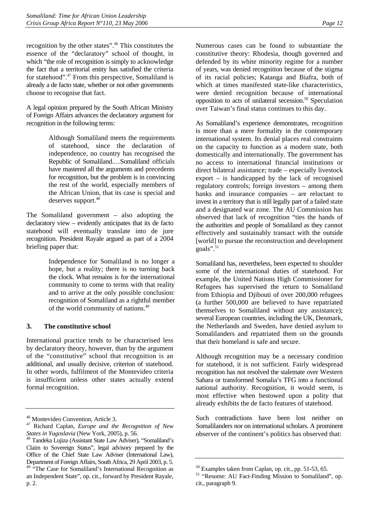<span id="page-15-0"></span>recognition by the other states".[46](#page-15-1) This constitutes the essence of the "declaratory" school of thought, in which "the role of recognition is simply to acknowledge the fact that a territorial entity has satisfied the criteria for statehood"[.47](#page-15-2) From this perspective, Somaliland is already a de facto state, whether or not other governments choose to recognise that fact.

A legal opinion prepared by the South African Ministry of Foreign Affairs advances the declaratory argument for recognition in the following terms:

> Although Somaliland meets the requirements of statehood, since the declaration of independence, no country has recognised the Republic of Somaliland.…Somaliland officials have mastered all the arguments and precedents for recognition, but the problem is in convincing the rest of the world, especially members of the African Union, that its case is special and deserves support.<sup>[48](#page-15-3)</sup>

The Somaliland government – also adopting the declaratory view – evidently anticipates that its de facto statehood will eventually translate into de jure recognition. President Rayale argued as part of a 2004 briefing paper that:

> Independence for Somaliland is no longer a hope, but a reality; there is no turning back the clock. What remains is for the international community to come to terms with that reality and to arrive at the only possible conclusion: recognition of Somaliland as a rightful member of the world community of nations[.49](#page-15-4)

### **3. The constitutive school**

International practice tends to be characterised less by declaratory theory, however, than by the argument of the "constitutive" school that recognition is an additional, and usually decisive, criterion of statehood. In other words, fulfilment of the Montevideo criteria is insufficient unless other states actually extend formal recognition.

Numerous cases can be found to substantiate the constitutive theory: Rhodesia, though governed and defended by its white minority regime for a number of years, was denied recognition because of the stigma of its racial policies; Katanga and Biafra, both of which at times manifested state-like characteristics, were denied recognition because of international opposition to acts of unilateral secession.[50](#page-15-5) Speculation over Taiwan's final status continues to this day.

As Somaliland's experience demonstrates, recognition is more than a mere formality in the contemporary international system. Its denial places real constraints on the capacity to function as a modern state, both domestically and internationally. The government has no access to international financial institutions or direct bilateral assistance; trade – especially livestock export – is handicapped by the lack of recognised regulatory controls; foreign investors – among them banks and insurance companies – are reluctant to invest in a territory that is still legally part of a failed state and a designated war zone. The AU Commission has observed that lack of recognition "ties the hands of the authorities and people of Somaliland as they cannot effectively and sustainably transact with the outside [world] to pursue the reconstruction and development goals". $51$ 

Somaliland has, nevertheless, been expected to shoulder some of the international duties of statehood. For example, the United Nations High Commissioner for Refugees has supervised the return to Somaliland from Ethiopia and Djibouti of over 200,000 refugees (a further 500,000 are believed to have repatriated themselves to Somaliland without any assistance); several European countries, including the UK, Denmark, the Netherlands and Sweden, have denied asylum to Somalilanders and repatriated them on the grounds that their homeland is safe and secure.

Although recognition may be a necessary condition for statehood, it is not sufficient. Fairly widespread recognition has not resolved the stalemate over Western Sahara or transformed Somalia's TFG into a functional national authority. Recognition, it would seem, is most effective when bestowed upon a polity that already exhibits the de facto features of statehood.

Such contradictions have been lost neither on Somalilanders nor on international scholars. A prominent observer of the continent's politics has observed that:

<span id="page-15-1"></span><sup>46</sup> Montevideo Convention, Article 3.

<span id="page-15-2"></span><sup>47</sup> Richard Caplan, *Europe and the Recognition of New* 

<span id="page-15-3"></span>*States in Yugoslavia* (New York, 2005), p. 56. 48 Tandeka Lujiza (Assistant State Law Adviser), "Somaliland's Claim to Sovereign Status", legal advisory prepared by the Office of the Chief State Law Adviser (International Law), Department of Foreign Affairs, South Africa, 29 April 2003, p. 5.

<span id="page-15-4"></span><sup>&</sup>lt;sup>49</sup> "The Case for Somaliland's International Recognition as an Independent State", op. cit., forward by President Rayale, p. 2.

<span id="page-15-5"></span><sup>50</sup> Examples taken from Caplan, op. cit., pp. 51-53, 65.

<span id="page-15-6"></span><sup>51 &</sup>quot;Resume: AU Fact-Finding Mission to Somaliland", op. cit., paragraph 9.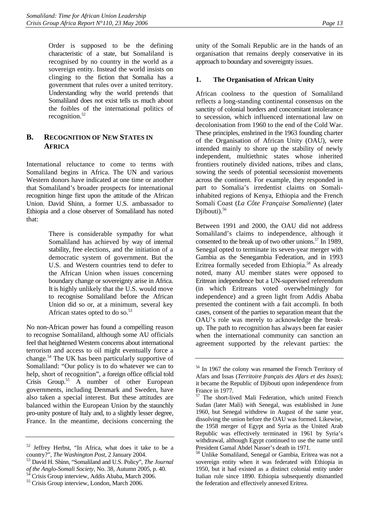<span id="page-16-0"></span>Order is supposed to be the defining characteristic of a state, but Somaliland is recognised by no country in the world as a sovereign entity. Instead the world insists on clinging to the fiction that Somalia has a government that rules over a united territory. Understanding why the world pretends that Somaliland does not exist tells us much about the foibles of the international politics of recognition.<sup>52</sup>

## **B. RECOGNITION OF NEW STATES IN AFRICA**

International reluctance to come to terms with Somaliland begins in Africa. The UN and various Western donors have indicated at one time or another that Somaliland's broader prospects for international recognition hinge first upon the attitude of the African Union. David Shinn, a former U.S. ambassador to Ethiopia and a close observer of Somaliland has noted that:

> There is considerable sympathy for what Somaliland has achieved by way of internal stability, free elections, and the initiation of a democratic system of government. But the U.S. and Western countries tend to defer to the African Union when issues concerning boundary change or sovereignty arise in Africa. It is highly unlikely that the U.S. would move to recognise Somaliland before the African Union did so or, at a minimum, several key African states opted to do so.<sup>53</sup>

No non-African power has found a compelling reason to recognise Somaliland, although some AU officials feel that heightened Western concerns about international terrorism and access to oil might eventually force a change.[54](#page-16-3) The UK has been particularly supportive of Somaliland: "Our policy is to do whatever we can to help, short of recognition", a foreign office official told Crisis Group.<sup>55</sup> A number of other European governments, including Denmark and Sweden, have also taken a special interest. But these attitudes are balanced within the European Union by the staunchly pro-unity posture of Italy and, to a slightly lesser degree, France. In the meantime, decisions concerning the unity of the Somali Republic are in the hands of an organisation that remains deeply conservative in its approach to boundary and sovereignty issues.

## **1. The Organisation of African Unity**

African coolness to the question of Somaliland reflects a long-standing continental consensus on the sanctity of colonial borders and concomitant intolerance to secession, which influenced international law on decolonisation from 1960 to the end of the Cold War. These principles, enshrined in the 1963 founding charter of the Organisation of African Unity (OAU), were intended mainly to shore up the stability of newly independent, multiethnic states whose inherited frontiers routinely divided nations, tribes and clans, sowing the seeds of potential secessionist movements across the continent. For example, they responded in part to Somalia's irredentist claims on Somaliinhabited regions of Kenya, Ethiopia and the French Somali Coast (*La Côte Française Somalienne*) (later Djibouti). $56$ 

Between 1991 and 2000, the OAU did not address Somaliland's claims to independence, although it consented to the break up of two other unions.<sup>57</sup> In 1989, Senegal opted to terminate its seven-year merger with Gambia as the Senegambia Federation, and in 1993 Eritrea formally seceded from Ethiopia.<sup>58</sup> As already noted, many AU member states were opposed to Eritrean independence but a UN-supervised referendum (in which Eritreans voted overwhelmingly for independence) and a green light from Addis Ababa presented the continent with a fait accompli. In both cases, consent of the parties to separation meant that the OAU's role was merely to acknowledge the breakup. The path to recognition has always been far easier when the international community can sanction an agreement supported by the relevant parties: the

<span id="page-16-1"></span> $52$  Jeffrey Herbst, "In Africa, what does it take to be a country?", The Washington Post, 2 January 2004.

<span id="page-16-2"></span><sup>&</sup>lt;sup>53</sup> David H. Shinn, "Somaliland and U.S. Policy", *The Journal of the Anglo-Somali Society*, No. 38, Autumn 2005, p. 40. 54 Crisis Group interview, Addis Ababa, March 2006.

<span id="page-16-4"></span><span id="page-16-3"></span><sup>55</sup> Crisis Group interview, London, March 2006.

<span id="page-16-5"></span><sup>56</sup> In 1967 the colony was renamed the French Territory of Afars and Issas (*Territoire français des Afars et des Issas*); it became the Republic of Djibouti upon independence from France in 1977.

<span id="page-16-6"></span><sup>57</sup> The short-lived Mali Federation, which united French Sudan (later Mali) with Senegal, was established in June 1960, but Senegal withdrew in August of the same year, dissolving the union before the OAU was formed. Likewise, the 1958 merger of Egypt and Syria as the United Arab Republic was effectively terminated in 1961 by Syria's withdrawal, although Egypt continued to use the name until President Gamal Abdel Nasser's death in 1971.

<span id="page-16-7"></span><sup>58</sup> Unlike Somaliland, Senegal or Gambia, Eritrea was not a sovereign entity when it was federated with Ethiopia in 1950, but it had existed as a distinct colonial entity under Italian rule since 1890. Ethiopia subsequently dismantled the federation and effectively annexed Eritrea.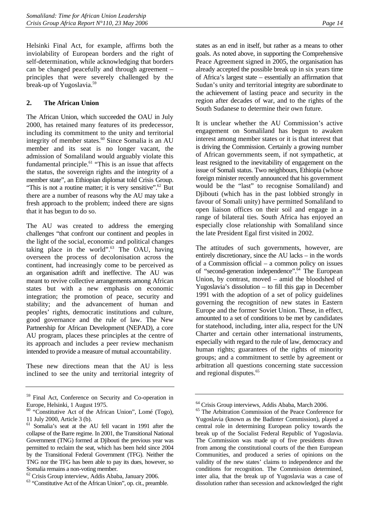<span id="page-17-0"></span>Helsinki Final Act, for example, affirms both the inviolability of European borders and the right of self-determination, while acknowledging that borders can be changed peacefully and through agreement – principles that were severely challenged by the break-up of Yugoslavia.<sup>59</sup>

### **2. The African Union**

The African Union, which succeeded the OAU in July 2000, has retained many features of its predecessor, including its commitment to the unity and territorial integrity of member states. $60$  Since Somalia is an AU member and its seat is no longer vacant, the admission of Somaliland would arguably violate this fundamental principle.<sup>61</sup> "This is an issue that affects the status, the sovereign rights and the integrity of a member state", an Ethiopian diplomat told Crisis Group. "This is not a routine matter; it is very sensitive". $62$  But there are a number of reasons why the AU may take a fresh approach to the problem; indeed there are signs that it has begun to do so.

The AU was created to address the emerging challenges "that confront our continent and peoples in the light of the social, economic and political changes taking place in the world". $63$  The OAU, having overseen the process of decolonisation across the continent, had increasingly come to be perceived as an organisation adrift and ineffective. The AU was meant to revive collective arrangements among African states but with a new emphasis on economic integration; the promotion of peace, security and stability; and the advancement of human and peoples' rights, democratic institutions and culture, good governance and the rule of law. The New Partnership for African Development (NEPAD), a core AU program, places these principles at the centre of its approach and includes a peer review mechanism intended to provide a measure of mutual accountability.

These new directions mean that the AU is less inclined to see the unity and territorial integrity of states as an end in itself, but rather as a means to other goals. As noted above, in supporting the Comprehensive Peace Agreement signed in 2005, the organisation has already accepted the possible break up in six years time of Africa's largest state – essentially an affirmation that Sudan's unity and territorial integrity are subordinate to the achievement of lasting peace and security in the region after decades of war, and to the rights of the South Sudanese to determine their own future.

It is unclear whether the AU Commission's active engagement on Somaliland has begun to awaken interest among member states or it is that interest that is driving the Commission. Certainly a growing number of African governments seem, if not sympathetic, at least resigned to the inevitability of engagement on the issue of Somali status. Two neighbours, Ethiopia (whose foreign minister recently announced that his government would be the "last" to recognise Somaliland) and Djibouti (which has in the past lobbied strongly in favour of Somali unity) have permitted Somaliland to open liaison offices on their soil and engage in a range of bilateral ties. South Africa has enjoyed an especially close relationship with Somaliland since the late President Egal first visited in 2002.

The attitudes of such governments, however, are entirely discretionary, since the AU lacks – in the words of a Commission official – a common policy on issues of "second-generation independence"[.64](#page-17-6) The European Union, by contrast, moved – amid the bloodshed of Yugoslavia's dissolution – to fill this gap in December 1991 with the adoption of a set of policy guidelines governing the recognition of new states in Eastern Europe and the former Soviet Union. These, in effect, amounted to a set of conditions to be met by candidates for statehood, including, inter alia, respect for the UN Charter and certain other international instruments, especially with regard to the rule of law, democracy and human rights; guarantees of the rights of minority groups; and a commitment to settle by agreement or arbitration all questions concerning state succession and regional disputes.<sup>65</sup>

<span id="page-17-1"></span><sup>59</sup> Final Act, Conference on Security and Co-operation in Europe, Helsinki, 1 August 1975.

<span id="page-17-2"></span> $60$  "Constitutive Act of the African Union", Lomé (Togo), 11 July 2000, Article 3 (b).

<span id="page-17-3"></span><sup>61</sup> Somalia's seat at the AU fell vacant in 1991 after the collapse of the Barre regime. In 2001, the Transitional National Government (TNG) formed at Djibouti the previous year was permitted to reclaim the seat, which has been held since 2004 by the Transitional Federal Government (TFG). Neither the TNG nor the TFG has been able to pay its dues, however, so Somalia remains a non-voting member.

<span id="page-17-4"></span><sup>62</sup> Crisis Group interview, Addis Ababa, January 2006.

<span id="page-17-5"></span><sup>63 &</sup>quot;Constitutive Act of the African Union", op. cit., preamble.

<span id="page-17-6"></span><sup>64</sup> Crisis Group interviews, Addis Ababa, March 2006.

<span id="page-17-7"></span><sup>65</sup> The Arbitration Commission of the Peace Conference for Yugoslavia (known as the Badinter Commission), played a central role in determining European policy towards the break up of the Socialist Federal Republic of Yugoslavia. The Commission was made up of five presidents drawn from among the constitutional courts of the then European Communities, and produced a series of opinions on the validity of the new states' claims to independence and the conditions for recognition. The Commission determined, inter alia, that the break up of Yugoslavia was a case of dissolution rather than secession and acknowledged the right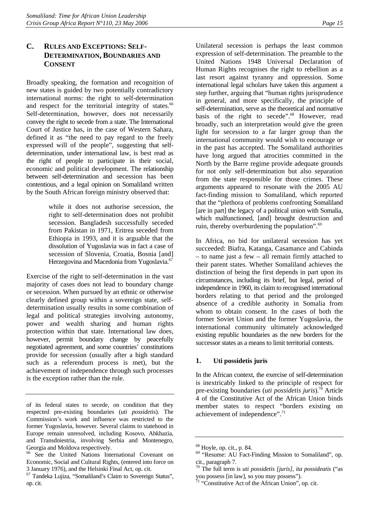## <span id="page-18-0"></span>**C. RULES AND EXCEPTIONS: SELF-DETERMINATION, BOUNDARIES AND CONSENT**

Broadly speaking, the formation and recognition of new states is guided by two potentially contradictory international norms: the right to self-determination and respect for the territorial integrity of states.<sup>66</sup> Self-determination, however, does not necessarily convey the right to secede from a state. The International Court of Justice has, in the case of Western Sahara, defined it as "the need to pay regard to the freely expressed will of the people", suggesting that selfdetermination, under international law, is best read as the right of people to participate in their social, economic and political development. The relationship between self-determination and secession has been contentious, and a legal opinion on Somaliland written by the South African foreign ministry observed that:

> while it does not authorise secession, the right to self-determination does not prohibit secession. Bangladesh successfully seceded from Pakistan in 1971, Eritrea seceded from Ethiopia in 1993, and it is arguable that the dissolution of Yugoslavia was in fact a case of secession of Slovenia, Croatia, Bosnia [and] Herzegovina and Macedonia from Yugoslavia.<sup>67</sup>

Exercise of the right to self-determination in the vast majority of cases does not lead to boundary change or secession. When pursued by an ethnic or otherwise clearly defined group within a sovereign state, selfdetermination usually results in some combination of legal and political strategies involving autonomy, power and wealth sharing and human rights protection within that state. International law does, however, permit boundary change by peacefully negotiated agreement, and some countries' constitutions provide for secession (usually after a high standard such as a referendum process is met), but the achievement of independence through such processes is the exception rather than the rule.

Unilateral secession is perhaps the least common expression of self-determination. The preamble to the United Nations 1948 Universal Declaration of Human Rights recognises the right to rebellion as a last resort against tyranny and oppression. Some international legal scholars have taken this argument a step further, arguing that "human rights jurisprudence in general, and more specifically, the principle of self-determination, serve as the theoretical and normative basis of the right to secede".<sup>68</sup> However, read broadly, such an interpretation would give the green light for secession to a far larger group than the international community would wish to encourage or in the past has accepted. The Somaliland authorities have long argued that atrocities committed in the North by the Barre regime provide adequate grounds for not only self-determination but also separation from the state responsible for those crimes. These arguments appeared to resonate with the 2005 AU fact-finding mission to Somaliland, which reported that the "plethora of problems confronting Somaliland [are in part] the legacy of a political union with Somalia, which malfunctioned, [and] brought destruction and ruin, thereby overburdening the population". $69$ 

In Africa, no bid for unilateral secession has yet succeeded: Biafra, Katanga, Casamance and Cabinda – to name just a few – all remain firmly attached to their parent states. Whether Somaliland achieves the distinction of being the first depends in part upon its circumstances, including its brief, but legal, period of independence in 1960, its claim to recognised international borders relating to that period and the prolonged absence of a credible authority in Somalia from whom to obtain consent. In the cases of both the former Soviet Union and the former Yugoslavia, the international community ultimately acknowledged existing republic boundaries as the new borders for the successor states as a means to limit territorial contests.

### **1. Uti possidetis juris**

In the African context, the exercise of self-determination is inextricably linked to the principle of respect for pre-existing boundaries (*uti possidetis juris*)[.70](#page-18-5) Article 4 of the Constitutive Act of the African Union binds member states to respect "borders existing on achievement of independence".<sup>71</sup>

of its federal states to secede, on condition that they respected pre-existing boundaries (*uti possidetis*). The Commission's work and influence was restricted to the former Yugoslavia, however. Several claims to statehood in Europe remain unresolved, including Kosovo, Abkhazia, and Transdniestria, involving Serbia and Montenegro, Georgia and Moldova respectively.

<span id="page-18-1"></span><sup>66</sup> See the United Nations International Covenant on Economic, Social and Cultural Rights, (entered into force on 3 January 1976), and the Helsinki Final Act, op. cit.

<span id="page-18-2"></span><sup>67</sup> Tandeka Lujiza, "Somaliland's Claim to Sovereign Status", op. cit.

<span id="page-18-3"></span><sup>68</sup> Hoyle, op. cit., p. 84.

<span id="page-18-4"></span><sup>69 &</sup>quot;Resume: AU Fact-Finding Mission to Somaliland", op. cit., paragraph 7.

<span id="page-18-5"></span><sup>70</sup> The full term is *uti possidetis [juris], ita possideatis* ("as you possess [in law], so you may possess").

<span id="page-18-6"></span> $71$  "Constitutive Act of the African Union", op. cit.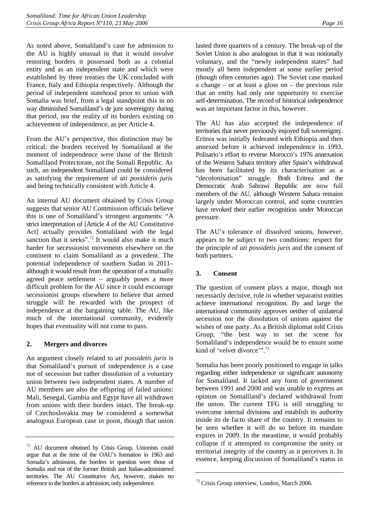<span id="page-19-0"></span>As noted above, Somaliland's case for admission to the AU is highly unusual in that it would involve restoring borders it possessed both as a colonial entity and as an independent state and which were established by three treaties the UK concluded with France, Italy and Ethiopia respectively. Although the period of independent statehood prior to union with Somalia was brief, from a legal standpoint this in no way diminished Somaliland's de jure sovereignty during that period, nor the reality of its borders existing on achievement of independence, as per Article 4.

From the AU's perspective, this distinction may be critical: the borders received by Somaliland at the moment of independence were those of the British Somaliland Protectorate, not the Somali Republic. As such, an independent Somaliland could be considered as satisfying the requirement of *uti possidetis juris* and being technically consistent with Article 4.

An internal AU document obtained by Crisis Group suggests that senior AU Commission officials believe this is one of Somaliland's strongest arguments: "A strict interpretation of [Article 4 of the AU Constitutive Act] actually provides Somaliland with the legal sanction that it seeks".<sup>72</sup> It would also make it much harder for secessionist movements elsewhere on the continent to claim Somaliland as a precedent. The potential independence of southern Sudan in 2011– although it would result from the operation of a mutually agreed peace settlement – arguably poses a more difficult problem for the AU since it could encourage secessionist groups elsewhere to believe that armed struggle will be rewarded with the prospect of independence at the bargaining table. The AU, like much of the international community, evidently hopes that eventuality will not come to pass.

### **2. Mergers and divorces**

An argument closely related to *uti possidetis juris* is that Somaliland's pursuit of independence is a case not of secession but rather dissolution of a voluntary union between two independent states. A number of AU members are also the offspring of failed unions: Mali, Senegal, Gambia and Egypt have all withdrawn from unions with their borders intact. The break-up of Czechoslovakia may be considered a somewhat analogous European case in point, though that union

lasted three quarters of a century. The break-up of the Soviet Union is also analogous in that it was notionally voluntary, and the "newly independent states" had mostly all been independent at some earlier period (though often centuries ago). The Soviet case marked a change – or at least a gloss on – the previous rule that an entity had only one opportunity to exercise self-determination. The record of historical independence was an important factor in this, however.

The AU has also accepted the independence of territories that never previously enjoyed full sovereignty. Eritrea was initially federated with Ethiopia and then annexed before it achieved independence in 1993. Polisario's effort to reverse Morocco's 1976 annexation of the Western Sahara territory after Spain's withdrawal has been facilitated by its characterisation as a "decolonisation" struggle. Both Eritrea and the Democratic Arab Sahrawi Republic are now full members of the AU, although Western Sahara remains largely under Moroccan control, and some countries have revoked their earlier recognition under Moroccan pressure.

The AU's tolerance of dissolved unions, however, appears to be subject to two conditions: respect for the principle of *uti possidetis juris* and the consent of both partners.

### **3. Consent**

The question of consent plays a major, though not necessarily decisive, role in whether separatist entities achieve international recognition. By and large the international community approves neither of unilateral secession nor the dissolution of unions against the wishes of one party. As a British diplomat told Crisis Group, "the best way to set the scene for Somaliland's independence would be to ensure some kind of 'velvet divorce'".<sup>[73](#page-19-2)</sup>

Somalia has been poorly positioned to engage in talks regarding either independence or significant autonomy for Somaliland. It lacked any form of government between 1991 and 2000 and was unable to express an opinion on Somaliland's declared withdrawal from the union. The current TFG is still struggling to overcome internal divisions and establish its authority inside its de facto share of the country. It remains to be seen whether it will do so before its mandate expires in 2009. In the meantime, it would probably collapse if it attempted to compromise the unity or territorial integrity of the country as it perceives it. In essence, keeping discussion of Somaliland's status in

<span id="page-19-1"></span><sup>72</sup> AU document obtained by Crisis Group. Unionists could argue that at the time of the OAU's formation in 1963 and Somalia's admission, the borders in question were those of Somalia and not of the former British and Italian-administered territories. The AU Constitutive Act, however, makes no reference to the borders at admission, only independence.

<span id="page-19-2"></span><sup>73</sup> Crisis Group interview, London, March 2006.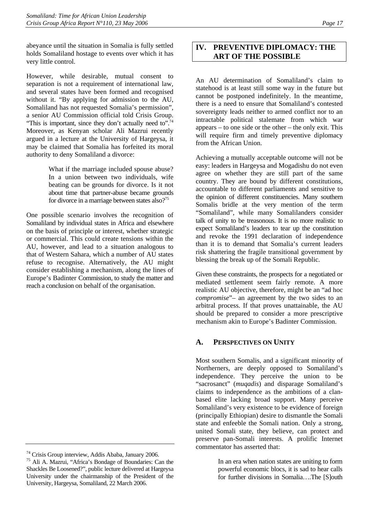<span id="page-20-0"></span>abeyance until the situation in Somalia is fully settled holds Somaliland hostage to events over which it has very little control.

However, while desirable, mutual consent to separation is not a requirement of international law, and several states have been formed and recognised without it. "By applying for admission to the AU, Somaliland has not requested Somalia's permission", a senior AU Commission official told Crisis Group. "This is important, since they don't actually need to".<sup>74</sup> Moreover, as Kenyan scholar Ali Mazrui recently argued in a lecture at the University of Hargeysa, it may be claimed that Somalia has forfeited its moral authority to deny Somaliland a divorce:

> What if the marriage included spouse abuse? In a union between two individuals, wife beating can be grounds for divorce. Is it not about time that partner-abuse became grounds for divorce in a marriage between states also?<sup>75</sup>

One possible scenario involves the recognition of Somaliland by individual states in Africa and elsewhere on the basis of principle or interest, whether strategic or commercial. This could create tensions within the AU, however, and lead to a situation analogous to that of Western Sahara, which a number of AU states refuse to recognise. Alternatively, the AU might consider establishing a mechanism, along the lines of Europe's Badinter Commission, to study the matter and reach a conclusion on behalf of the organisation.

# **IV. PREVENTIVE DIPLOMACY: THE ART OF THE POSSIBLE**

An AU determination of Somaliland's claim to statehood is at least still some way in the future but cannot be postponed indefinitely. In the meantime, there is a need to ensure that Somaliland's contested sovereignty leads neither to armed conflict nor to an intractable political stalemate from which war appears – to one side or the other – the only exit. This will require firm and timely preventive diplomacy from the African Union.

Achieving a mutually acceptable outcome will not be easy: leaders in Hargeysa and Mogadishu do not even agree on whether they are still part of the same country. They are bound by different constitutions, accountable to different parliaments and sensitive to the opinion of different constituencies. Many southern Somalis bridle at the very mention of the term "Somaliland", while many Somalilanders consider talk of unity to be treasonous. It is no more realistic to expect Somaliland's leaders to tear up the constitution and revoke the 1991 declaration of independence than it is to demand that Somalia's current leaders risk shattering the fragile transitional government by blessing the break up of the Somali Republic.

Given these constraints, the prospects for a negotiated or mediated settlement seem fairly remote. A more realistic AU objective, therefore, might be an "ad hoc *compromise*"– an agreement by the two sides to an arbitral process. If that proves unattainable, the AU should be prepared to consider a more prescriptive mechanism akin to Europe's Badinter Commission.

## **A. PERSPECTIVES ON UNITY**

Most southern Somalis, and a significant minority of Northerners, are deeply opposed to Somaliland's independence. They perceive the union to be "sacrosanct" (*muqadis*) and disparage Somaliland's claims to independence as the ambitions of a clanbased elite lacking broad support. Many perceive Somaliland's very existence to be evidence of foreign (principally Ethiopian) desire to dismantle the Somali state and enfeeble the Somali nation. Only a strong, united Somali state, they believe, can protect and preserve pan-Somali interests. A prolific Internet commentator has asserted that:

> In an era when nation states are uniting to form powerful economic blocs, it is sad to hear calls for further divisions in Somalia….The [S]outh

<span id="page-20-1"></span><sup>74</sup> Crisis Group interview, Addis Ababa, January 2006.

<span id="page-20-2"></span><sup>75</sup> Ali A. Mazrui, "Africa's Bondage of Boundaries: Can the Shackles Be Loosened?", public lecture delivered at Hargeysa University under the chairmanship of the President of the University, Hargeysa, Somaliland, 22 March 2006.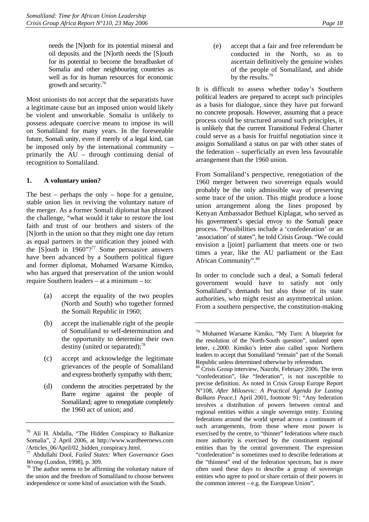<span id="page-21-0"></span>needs the [N]orth for its potential mineral and oil deposits and the [N]orth needs the [S]outh for its potential to become the breadbasket of Somalia and other neighbouring countries as well as for its human resources for economic growth and security.[76](#page-21-1)

Most unionists do not accept that the separatists have a legitimate cause but an imposed union would likely be violent and unworkable. Somalia is unlikely to possess adequate coercive means to impose its will on Somaliland for many years. In the foreseeable future, Somali unity, even if merely of a legal kind, can be imposed only by the international community – primarily the AU – through continuing denial of recognition to Somaliland.

#### **1. A voluntary union?**

The best – perhaps the only – hope for a genuine, stable union lies in reviving the voluntary nature of the merger. As a former Somali diplomat has phrased the challenge, "what would it take to restore the lost faith and trust of our brothers and sisters of the [N]orth in the union so that they might one day return as equal partners in the unification they joined with the [S]outh in  $1960"$ ?<sup>77</sup> Some persuasive answers have been advanced by a Southern political figure and former diplomat, Mohamed Warsame Kimiko, who has argued that preservation of the union would require Southern leaders – at a minimum – to:

- (a) accept the equality of the two peoples (North and South) who together formed the Somali Republic in 1960;
- (b) accept the inalienable right of the people of Somaliland to self-determination and the opportunity to determine their own destiny (united or separated); $^{78}$
- (c) accept and acknowledge the legitimate grievances of the people of Somaliland and express brotherly sympathy with them;
- (d) condemn the atrocities perpetrated by the Barre regime against the people of Somaliland; agree to renegotiate completely the 1960 act of union; and

(e) accept that a fair and free referendum be conducted in the North, so as to ascertain definitively the genuine wishes of the people of Somaliland, and abide by the results.<sup>79</sup>

It is difficult to assess whether today's Southern political leaders are prepared to accept such principles as a basis for dialogue, since they have put forward no concrete proposals. However, assuming that a peace process could be structured around such principles, it is unlikely that the current Transitional Federal Charter could serve as a basis for fruitful negotiation since it assigns Somaliland a status on par with other states of the federation – superficially an even less favourable arrangement than the 1960 union.

From Somaliland's perspective, renegotiation of the 1960 merger between two sovereign equals would probably be the only admissible way of preserving some trace of the union. This might produce a loose union arrangement along the lines proposed by Kenyan Ambassador Bethuel Kiplagat, who served as his government's special envoy to the Somali peace process. "Possibilities include a 'confederation' or an 'association' of states", he told Crisis Group. "We could envision a [joint] parliament that meets one or two times a year, like the AU parliament or the East African Community". 80

In order to conclude such a deal, a Somali federal government would have to satisfy not only Somaliland's demands but also those of its state authorities, who might resist an asymmetrical union. From a southern perspective, the constitution-making

<span id="page-21-1"></span><sup>76</sup> Ali H. Abdalla, "The Hidden Conspiracy to Balkanize Somalia", 2 April 2006, at http://www.wardheernews.com /Articles\_06/April/02\_hidden\_conspiracy.html. 77 Abdullahi Dool, *Failed States: When Governance Goes* 

<span id="page-21-2"></span>

<span id="page-21-3"></span>*Wrong* (London, 1998), p. 309.<br><sup>78</sup> The author seems to be affirming the voluntary nature of the union and the freedom of Somaliland to choose between independence or some kind of association with the South.

<span id="page-21-4"></span><sup>79</sup> Mohamed Warsame Kimiko, "My Turn: A blueprint for the resolution of the North-South question", undated open letter, c.2000. Kimiko's letter also called upon Northern leaders to accept that Somaliland "remain" part of the Somali Republic unless determined otherwise by referendum.

<span id="page-21-5"></span><sup>&</sup>lt;sup>80</sup> Crisis Group interview, Nairobi, February 2006. The term "confederation", like "federation", is not susceptible to precise definition. As noted in Crisis Group Europe Report N°108, *After Milosevic: A Practical Agenda for Lasting Balkans Peace,*1 April 2001, footnote 91: "Any federation involves a distribution of powers between central and regional entities within a single sovereign entity. Existing federations around the world spread across a continuum of such arrangements, from those where most power is exercised by the centre, to "thinner" federations where much more authority is exercised by the constituent regional entities than by the central government. The expression "confederation" is sometimes used to describe federations at the "thinnest" end of the federation spectrum, but is more often used these days to describe a group of sovereign entities who agree to pool or share certain of their powers in the common interest – e.g. the European Union".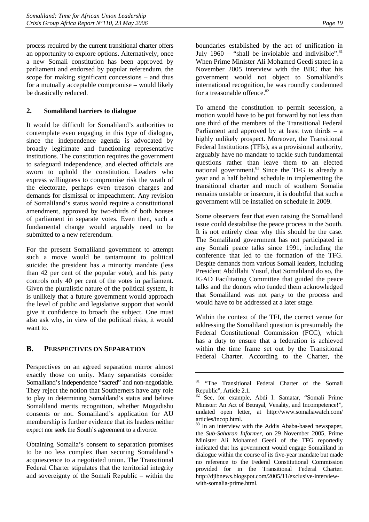<span id="page-22-0"></span>process required by the current transitional charter offers an opportunity to explore options. Alternatively, once a new Somali constitution has been approved by parliament and endorsed by popular referendum, the scope for making significant concessions – and thus for a mutually acceptable compromise – would likely be drastically reduced.

### **2. Somaliland barriers to dialogue**

It would be difficult for Somaliland's authorities to contemplate even engaging in this type of dialogue, since the independence agenda is advocated by broadly legitimate and functioning representative institutions. The constitution requires the government to safeguard independence, and elected officials are sworn to uphold the constitution. Leaders who express willingness to compromise risk the wrath of the electorate, perhaps even treason charges and demands for dismissal or impeachment. Any revision of Somaliland's status would require a constitutional amendment, approved by two-thirds of both houses of parliament in separate votes. Even then, such a fundamental change would arguably need to be submitted to a new referendum.

For the present Somaliland government to attempt such a move would be tantamount to political suicide: the president has a minority mandate (less than 42 per cent of the popular vote), and his party controls only 40 per cent of the votes in parliament. Given the pluralistic nature of the political system, it is unlikely that a future government would approach the level of public and legislative support that would give it confidence to broach the subject. One must also ask why, in view of the political risks, it would want to.

## **B. PERSPECTIVES ON SEPARATION**

Perspectives on an agreed separation mirror almost exactly those on unity. Many separatists consider Somaliland's independence "sacred" and non-negotiable. They reject the notion that Southerners have any role to play in determining Somaliland's status and believe Somaliland merits recognition, whether Mogadishu consents or not. Somaliland's application for AU membership is further evidence that its leaders neither expect nor seek the South's agreement to a divorce.

Obtaining Somalia's consent to separation promises to be no less complex than securing Somaliland's acquiescence to a negotiated union. The Transitional Federal Charter stipulates that the territorial integrity and sovereignty of the Somali Republic – within the boundaries established by the act of unification in July 1960 – "shall be inviolable and indivisible". $81$ When Prime Minister Ali Mohamed Geedi stated in a November 2005 interview with the BBC that his government would not object to Somaliland's international recognition, he was roundly condemned for a treasonable offence.<sup>[82](#page-22-2)</sup>

To amend the constitution to permit secession, a motion would have to be put forward by not less than one third of the members of the Transitional Federal Parliament and approved by at least two thirds  $-$  a highly unlikely prospect. Moreover, the Transitional Federal Institutions (TFIs), as a provisional authority, arguably have no mandate to tackle such fundamental questions rather than leave them to an elected national government.<sup>83</sup> Since the TFG is already a year and a half behind schedule in implementing the transitional charter and much of southern Somalia remains unstable or insecure, it is doubtful that such a government will be installed on schedule in 2009.

Some observers fear that even raising the Somaliland issue could destabilise the peace process in the South. It is not entirely clear why this should be the case. The Somaliland government has not participated in any Somali peace talks since 1991, including the conference that led to the formation of the TFG. Despite demands from various Somali leaders, including President Abdillahi Yusuf, that Somaliland do so, the IGAD Facilitating Committee that guided the peace talks and the donors who funded them acknowledged that Somaliland was not party to the process and would have to be addressed at a later stage.

Within the context of the TFI, the correct venue for addressing the Somaliland question is presumably the Federal Constitutional Commission (FCC), which has a duty to ensure that a federation is achieved within the time frame set out by the Transitional Federal Charter. According to the Charter, the

<span id="page-22-1"></span><sup>81 &</sup>quot;The Transitional Federal Charter of the Somali Republic", Article 2.1.

<span id="page-22-2"></span><sup>&</sup>lt;sup>82</sup> See, for example, Abdi I. Samatar, "Somali Prime Minister: An Act of Betrayal, Venality, and Incompetence!", undated open letter, at http://www.somaliawatch.com/ articles/incop.html.

<span id="page-22-3"></span><sup>&</sup>lt;sup>83</sup> In an interview with the Addis Ababa-based newspaper, the *Sub-Saharan Informer*, on 29 November 2005, Prime Minister Ali Mohamed Geedi of the TFG reportedly indicated that his government would engage Somaliland in dialogue within the course of its five-year mandate but made no reference to the Federal Constitutional Commission provided for in the Transitional Federal Charter. http://djibnews.blogspot.com/2005/11/exclusive-interviewwith-somalia-prime.html.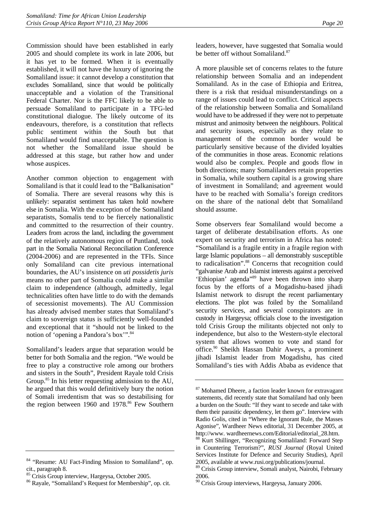Commission should have been established in early 2005 and should complete its work in late 2006, but it has yet to be formed. When it is eventually established, it will not have the luxury of ignoring the Somaliland issue: it cannot develop a constitution that excludes Somaliland, since that would be politically unacceptable and a violation of the Transitional Federal Charter. Nor is the FFC likely to be able to persuade Somaliland to participate in a TFG-led constitutional dialogue. The likely outcome of its endeavours, therefore, is a constitution that reflects public sentiment within the South but that Somaliland would find unacceptable. The question is not whether the Somaliland issue should be addressed at this stage, but rather how and under whose auspices.

Another common objection to engagement with Somaliland is that it could lead to the "Balkanisation" of Somalia. There are several reasons why this is unlikely: separatist sentiment has taken hold nowhere else in Somalia. With the exception of the Somaliland separatists, Somalis tend to be fiercely nationalistic and committed to the resurrection of their country. Leaders from across the land, including the government of the relatively autonomous region of Puntland, took part in the Somalia National Reconciliation Conference (2004-2006) and are represented in the TFIs. Since only Somaliland can cite previous international boundaries, the AU's insistence on *uti possidetis juris* means no other part of Somalia could make a similar claim to independence (although, admittedly, legal technicalities often have little to do with the demands of secessionist movements). The AU Commission has already advised member states that Somaliland's claim to sovereign status is sufficiently well-founded and exceptional that it "should not be linked to the notion of 'opening a Pandora's box'".<sup>84</sup>

Somaliland's leaders argue that separation would be better for both Somalia and the region. "We would be free to play a constructive role among our brothers and sisters in the South", President Rayale told Crisis Group.<sup>85</sup> In his letter requesting admission to the AU, he argued that this would definitively bury the notion of Somali irredentism that was so destabilising for the region between 1960 and 1978.<sup>86</sup> Few Southern leaders, however, have suggested that Somalia would be better off without Somaliland.<sup>[87](#page-23-3)</sup>

A more plausible set of concerns relates to the future relationship between Somalia and an independent Somaliland. As in the case of Ethiopia and Eritrea, there is a risk that residual misunderstandings on a range of issues could lead to conflict. Critical aspects of the relationship between Somalia and Somaliland would have to be addressed if they were not to perpetuate mistrust and animosity between the neighbours. Political and security issues, especially as they relate to management of the common border would be particularly sensitive because of the divided loyalties of the communities in those areas. Economic relations would also be complex. People and goods flow in both directions; many Somalilanders retain properties in Somalia, while southern capital is a growing share of investment in Somaliland; and agreement would have to be reached with Somalia's foreign creditors on the share of the national debt that Somaliland should assume.

Some observers fear Somaliland would become a target of deliberate destabilisation efforts. As one expert on security and terrorism in Africa has noted: "Somaliland is a fragile entity in a fragile region with large Islamic populations – all demonstrably susceptible to radicalisation".<sup>88</sup> Concerns that recognition could "galvanise Arab and Islamist interests against a perceived 'Ethiopian' agenda"<sup>89</sup> have been thrown into sharp focus by the efforts of a Mogadishu-based jihadi Islamist network to disrupt the recent parliamentary elections. The plot was foiled by the Somaliland security services, and several conspirators are in custody in Hargeysa; officials close to the investigation told Crisis Group the militants objected not only to independence, but also to the Western-style electoral system that allows women to vote and stand for office[.90](#page-23-6) Sheikh Hassan Dahir Aweys, a prominent jihadi Islamist leader from Mogadishu, has cited Somaliland's ties with Addis Ababa as evidence that

<span id="page-23-0"></span><sup>&</sup>lt;sup>84</sup> "Resume: AU Fact-Finding Mission to Somaliland", op. cit., paragraph 8.

<span id="page-23-1"></span><sup>&</sup>lt;sup>85</sup> Crisis Group interview, Hargeysa, October 2005.

<span id="page-23-2"></span><sup>86</sup> Rayale, "Somaliland's Request for Membership", op. cit.

<span id="page-23-3"></span><sup>&</sup>lt;sup>87</sup> Mohamed Dheere, a faction leader known for extravagant statements, did recently state that Somaliland had only been a burden on the South: "If they want to secede and take with them their parasitic dependency, let them go". Interview with Radio Golis, cited in "Where the Ignorant Rule, the Masses Agonise"*,* Wardheer News editorial, 31 December 2005, at http://www. wardheernews.com/Editorial/editorial\_28.htm.

<span id="page-23-4"></span><sup>88</sup> Kurt Shillinger, "Recognizing Somaliland: Forward Step in Countering Terrorism?", *RUSI Journal* (Royal United Services Institute for Defence and Security Studies), April 2005, available at www.rusi.org/publications/journal.

<span id="page-23-5"></span><sup>89</sup> Crisis Group interview, Somali analyst, Nairobi, February 2006.

<span id="page-23-6"></span><sup>90</sup> Crisis Group interviews, Hargeysa, January 2006.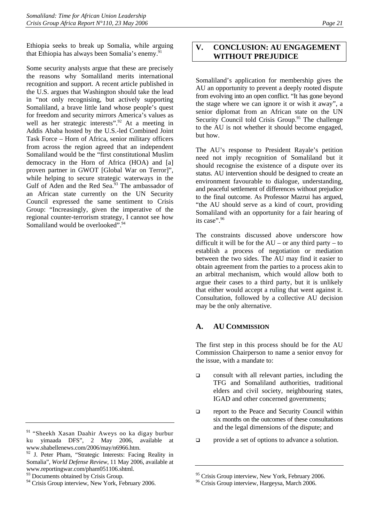<span id="page-24-0"></span>Ethiopia seeks to break up Somalia, while arguing that Ethiopia has always been Somalia's enemy.<sup>[91](#page-24-1)</sup>

Some security analysts argue that these are precisely the reasons why Somaliland merits international recognition and support. A recent article published in the U.S. argues that Washington should take the lead in "not only recognising, but actively supporting Somaliland, a brave little land whose people's quest for freedom and security mirrors America's values as well as her strategic interests".<sup>92</sup> At a meeting in Addis Ababa hosted by the U.S.-led Combined Joint Task Force – Horn of Africa, senior military officers from across the region agreed that an independent Somaliland would be the "first constitutional Muslim democracy in the Horn of Africa (HOA) and [a] proven partner in GWOT [Global War on Terror]", while helping to secure strategic waterways in the Gulf of Aden and the Red Sea.<sup>93</sup> The ambassador of an African state currently on the UN Security Council expressed the same sentiment to Crisis Group: "Increasingly, given the imperative of the regional counter-terrorism strategy, I cannot see how Somaliland would be overlooked".<sup>94</sup>

## **V. CONCLUSION: AU ENGAGEMENT WITHOUT PREJUDICE**

Somaliland's application for membership gives the AU an opportunity to prevent a deeply rooted dispute from evolving into an open conflict. "It has gone beyond the stage where we can ignore it or wish it away", a senior diplomat from an African state on the UN Security Council told Crisis Group.<sup>95</sup> The challenge to the AU is not whether it should become engaged, but how.

The AU's response to President Rayale's petition need not imply recognition of Somaliland but it should recognise the existence of a dispute over its status. AU intervention should be designed to create an environment favourable to dialogue, understanding, and peaceful settlement of differences without prejudice to the final outcome. As Professor Mazrui has argued, "the AU should serve as a kind of court, providing Somaliland with an opportunity for a fair hearing of its case".<sup>[96](#page-24-6)</sup>

The constraints discussed above underscore how difficult it will be for the  $AU - or$  any third party – to establish a process of negotiation or mediation between the two sides. The AU may find it easier to obtain agreement from the parties to a process akin to an arbitral mechanism, which would allow both to argue their cases to a third party, but it is unlikely that either would accept a ruling that went against it. Consultation, followed by a collective AU decision may be the only alternative.

### **A. AU COMMISSION**

The first step in this process should be for the AU Commission Chairperson to name a senior envoy for the issue, with a mandate to:

- consult with all relevant parties, including the TFG and Somaliland authorities, traditional elders and civil society, neighbouring states, IGAD and other concerned governments;
- $\Box$  report to the Peace and Security Council within six months on the outcomes of these consultations and the legal dimensions of the dispute; and
- provide a set of options to advance a solution.

<span id="page-24-1"></span><sup>&</sup>lt;sup>91</sup> "Sheekh Xasan Daahir Aweys oo ka digay burbur ku yimaada DFS", 2 May 2006, available at www.shabellenews.com/2006/may/n6966.htm.

<span id="page-24-2"></span><sup>&</sup>lt;sup>92</sup> J. Peter Pham, "Strategic Interests: Facing Reality in Somalia", *World Defense Review*, 11 May 2006, available at www.reportingwar.com/pham051106.shtml.

<span id="page-24-3"></span><sup>&</sup>lt;sup>93</sup> Documents obtained by Crisis Group.

<span id="page-24-4"></span><sup>&</sup>lt;sup>94</sup> Crisis Group interview, New York, February 2006.

<span id="page-24-5"></span><sup>&</sup>lt;sup>95</sup> Crisis Group interview, New York, February 2006.

<span id="page-24-6"></span><sup>&</sup>lt;sup>96</sup> Crisis Group interview, Hargeysa, March 2006.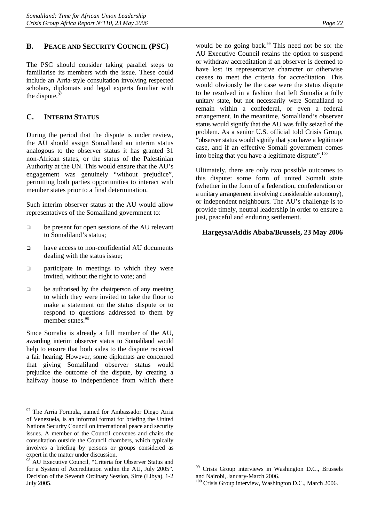## <span id="page-25-0"></span>**B. PEACE AND SECURITY COUNCIL (PSC)**

The PSC should consider taking parallel steps to familiarise its members with the issue. These could include an Arria-style consultation involving respected scholars, diplomats and legal experts familiar with the dispute.<sup>97</sup>

### **C. INTERIM STATUS**

During the period that the dispute is under review, the AU should assign Somaliland an interim status analogous to the observer status it has granted 31 non-African states, or the status of the Palestinian Authority at the UN. This would ensure that the AU's engagement was genuinely "without prejudice", permitting both parties opportunities to interact with member states prior to a final determination.

Such interim observer status at the AU would allow representatives of the Somaliland government to:

- $\Box$  be present for open sessions of the AU relevant to Somaliland's status;
- □ have access to non-confidential AU documents dealing with the status issue;
- $\Box$  participate in meetings to which they were invited, without the right to vote; and
- $\Box$  be authorised by the chairperson of any meeting to which they were invited to take the floor to make a statement on the status dispute or to respond to questions addressed to them by member states.<sup>[98](#page-25-2)</sup>

Since Somalia is already a full member of the AU, awarding interim observer status to Somaliland would help to ensure that both sides to the dispute received a fair hearing. However, some diplomats are concerned that giving Somaliland observer status would prejudice the outcome of the dispute, by creating a halfway house to independence from which there would be no going back. $99$  This need not be so: the AU Executive Council retains the option to suspend or withdraw accreditation if an observer is deemed to have lost its representative character or otherwise ceases to meet the criteria for accreditation. This would obviously be the case were the status dispute to be resolved in a fashion that left Somalia a fully unitary state, but not necessarily were Somaliland to remain within a confederal, or even a federal arrangement. In the meantime, Somaliland's observer status would signify that the AU was fully seized of the problem. As a senior U.S. official told Crisis Group, "observer status would signify that you have a legitimate case, and if an effective Somali government comes into being that you have a legitimate dispute". $100$ 

Ultimately, there are only two possible outcomes to this dispute: some form of united Somali state (whether in the form of a federation, confederation or a unitary arrangement involving considerable autonomy), or independent neighbours. The AU's challenge is to provide timely, neutral leadership in order to ensure a just, peaceful and enduring settlement.

#### **Hargeysa/Addis Ababa/Brussels, 23 May 2006**

<span id="page-25-1"></span><sup>&</sup>lt;sup>97</sup> The Arria Formula, named for Ambassador Diego Arria of Venezuela, is an informal format for briefing the United Nations Security Council on international peace and security issues. A member of the Council convenes and chairs the consultation outside the Council chambers, which typically involves a briefing by persons or groups considered as expert in the matter under discussion.

<span id="page-25-2"></span><sup>&</sup>lt;sup>98</sup> AU Executive Council, "Criteria for Observer Status and for a System of Accreditation within the AU, July 2005". Decision of the Seventh Ordinary Session, Sirte (Libya), 1-2 July 2005.

<span id="page-25-3"></span>Crisis Group interviews in Washington D.C., Brussels and Nairobi, January-March 2006.

<span id="page-25-4"></span><sup>&</sup>lt;sup>100</sup> Crisis Group interview, Washington D.C., March 2006.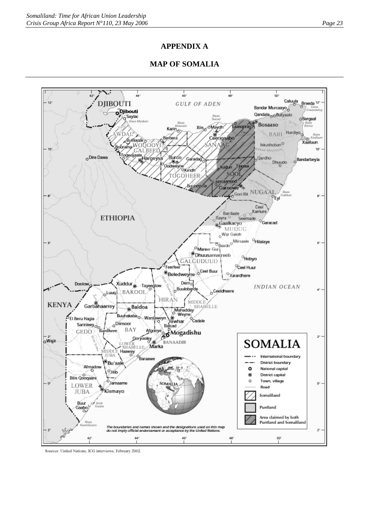## **APPENDIX A**

## **MAP OF SOMALIA**



Sources: United Nations, ICG interviews, February 2002.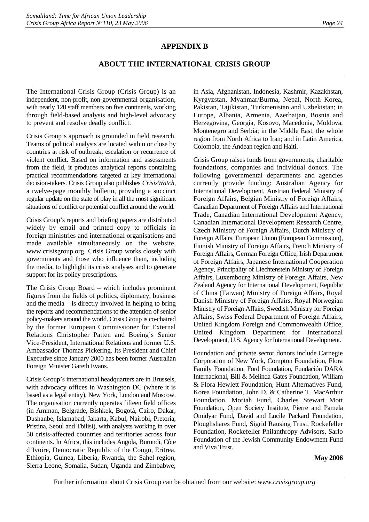## **APPENDIX B**

## **ABOUT THE INTERNATIONAL CRISIS GROUP**

The International Crisis Group (Crisis Group) is an independent, non-profit, non-governmental organisation, with nearly 120 staff members on five continents, working through field-based analysis and high-level advocacy to prevent and resolve deadly conflict.

Crisis Group's approach is grounded in field research. Teams of political analysts are located within or close by countries at risk of outbreak, escalation or recurrence of violent conflict. Based on information and assessments from the field, it produces analytical reports containing practical recommendations targeted at key international decision-takers. Crisis Group also publishes *CrisisWatch*, a twelve-page monthly bulletin, providing a succinct regular update on the state of play in all the most significant situations of conflict or potential conflict around the world.

Crisis Group's reports and briefing papers are distributed widely by email and printed copy to officials in foreign ministries and international organisations and made available simultaneously on the website, www.crisisgroup.org. Crisis Group works closely with governments and those who influence them, including the media, to highlight its crisis analyses and to generate support for its policy prescriptions.

The Crisis Group Board – which includes prominent figures from the fields of politics, diplomacy, business and the media – is directly involved in helping to bring the reports and recommendations to the attention of senior policy-makers around the world. Crisis Group is co-chaired by the former European Commissioner for External Relations Christopher Patten and Boeing's Senior Vice-President, International Relations and former U.S. Ambassador Thomas Pickering. Its President and Chief Executive since January 2000 has been former Australian Foreign Minister Gareth Evans.

Crisis Group's international headquarters are in Brussels, with advocacy offices in Washington DC (where it is based as a legal entity), New York, London and Moscow. The organisation currently operates fifteen field offices (in Amman, Belgrade, Bishkek, Bogotá, Cairo, Dakar, Dushanbe, Islamabad, Jakarta, Kabul, Nairobi, Pretoria, Pristina, Seoul and Tbilisi), with analysts working in over 50 crisis-affected countries and territories across four continents. In Africa, this includes Angola, Burundi, Côte d'Ivoire, Democratic Republic of the Congo, Eritrea, Ethiopia, Guinea, Liberia, Rwanda, the Sahel region, Sierra Leone, Somalia, Sudan, Uganda and Zimbabwe;

in Asia, Afghanistan, Indonesia, Kashmir, Kazakhstan, Kyrgyzstan, Myanmar/Burma, Nepal, North Korea, Pakistan, Tajikistan, Turkmenistan and Uzbekistan; in Europe, Albania, Armenia, Azerbaijan, Bosnia and Herzegovina, Georgia, Kosovo, Macedonia, Moldova, Montenegro and Serbia; in the Middle East, the whole region from North Africa to Iran; and in Latin America, Colombia, the Andean region and Haiti.

Crisis Group raises funds from governments, charitable foundations, companies and individual donors. The following governmental departments and agencies currently provide funding: Australian Agency for International Development, Austrian Federal Ministry of Foreign Affairs, Belgian Ministry of Foreign Affairs, Canadian Department of Foreign Affairs and International Trade, Canadian International Development Agency, Canadian International Development Research Centre, Czech Ministry of Foreign Affairs, Dutch Ministry of Foreign Affairs, European Union (European Commission), Finnish Ministry of Foreign Affairs, French Ministry of Foreign Affairs, German Foreign Office, Irish Department of Foreign Affairs, Japanese International Cooperation Agency, Principality of Liechtenstein Ministry of Foreign Affairs, Luxembourg Ministry of Foreign Affairs, New Zealand Agency for International Development, Republic of China (Taiwan) Ministry of Foreign Affairs, Royal Danish Ministry of Foreign Affairs, Royal Norwegian Ministry of Foreign Affairs, Swedish Ministry for Foreign Affairs, Swiss Federal Department of Foreign Affairs, United Kingdom Foreign and Commonwealth Office, United Kingdom Department for International Development, U.S. Agency for International Development.

Foundation and private sector donors include Carnegie Corporation of New York, Compton Foundation, Flora Family Foundation, Ford Foundation, Fundación DARA Internacional, Bill & Melinda Gates Foundation, William & Flora Hewlett Foundation, Hunt Alternatives Fund, Korea Foundation, John D. & Catherine T. MacArthur Foundation, Moriah Fund, Charles Stewart Mott Foundation, Open Society Institute, Pierre and Pamela Omidyar Fund, David and Lucile Packard Foundation, Ploughshares Fund, Sigrid Rausing Trust, Rockefeller Foundation, Rockefeller Philanthropy Advisors, Sarlo Foundation of the Jewish Community Endowment Fund and Viva Trust.

#### **May 2006**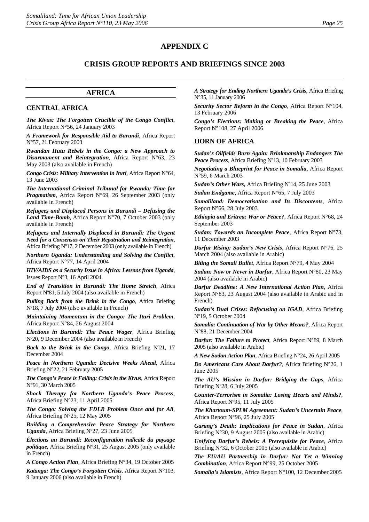## **CRISIS GROUP REPORTS AND BRIEFINGS SINCE 2003**

#### **AFRICA**

#### **CENTRAL AFRICA**

*The Kivus: The Forgotten Crucible of the Congo Conflict*, Africa Report N°56, 24 January 2003

*A Framework for Responsible Aid to Burundi*, Africa Report N°57, 21 February 2003

*Rwandan Hutu Rebels in the Congo: a New Approach to Disarmament and Reintegration,* Africa Report N°63, 23 May 2003 (also available in French)

*Congo Crisis: Military Intervention in Ituri*, Africa Report N°64, 13 June 2003

*The International Criminal Tribunal for Rwanda: Time for Pragmatism*, Africa Report N°69, 26 September 2003 (only available in French)

*Refugees and Displaced Persons in Burundi – Defusing the Land Time-Bomb*, Africa Report N°70, 7 October 2003 (only available in French)

*Refugees and Internally Displaced in Burundi: The Urgent Need for a Consensus on Their Repatriation and Reintegration*, Africa Briefing Nº17, 2 December 2003 (only available in French)

*Northern Uganda: Understanding and Solving the Conflict*, Africa Report N°77, 14 April 2004

*HIV/AIDS as a Security Issue in Africa: Lessons from Uganda*, Issues Report N°3, 16 April 2004

*End of Transition in Burundi: The Home Stretch*, Africa Report Nº81, 5 July 2004 (also available in French)

*Pulling Back from the Brink in the Congo*, Africa Briefing Nº18, 7 July 2004 (also available in French)

*Maintaining Momentum in the Congo: The Ituri Problem*, Africa Report N°84, 26 August 2004

*Elections in Burundi: The Peace Wager*, Africa Briefing Nº20, 9 December 2004 (also available in French)

*Back to the Brink in the Congo*, Africa Briefing Nº21, 17 December 2004

*Peace in Northern Uganda: Decisive Weeks Ahead*, Africa Briefing N°22, 21 February 2005

*The Congo's Peace is Failing: Crisis in the Kivus*, Africa Report N°91, 30 March 2005

*Shock Therapy for Northern Uganda's Peace Process*, Africa Briefing N°23, 11 April 2005

*The Congo: Solving the FDLR Problem Once and for All*, Africa Briefing N°25, 12 May 2005

*Building a Comprehensive Peace Strategy for Northern Uganda*, Africa Briefing Nº27, 23 June 2005

*Élections au Burundi: Reconfiguration radicale du paysage politique,* Africa Briefing N°31, 25 August 2005 (only available in French)

*A Congo Action Plan*, Africa Briefing N°34, 19 October 2005

*Katanga: The Congo's Forgotten Crisis*, Africa Report N°103, 9 January 2006 (also available in French)

*A Strategy for Ending Northern Uganda's Crisis*, Africa Briefing N°35, 11 January 2006

*Security Sector Reform in the Congo*, Africa Report N°104, 13 February 2006

*Congo's Elections: Making or Breaking the Peace*, Africa Report N°108, 27 April 2006

#### **HORN OF AFRICA**

*Sudan's Oilfields Burn Again: Brinkmanship Endangers The Peace Process*, Africa Briefing Nº13, 10 February 2003

*Negotiating a Blueprint for Peace in Somalia*, Africa Report N°59, 6 March 2003

*Sudan's Other Wars,* Africa Briefing Nº14, 25 June 2003

*Sudan Endgame*, Africa Report N°65, 7 July 2003

*Somaliland: Democratisation and Its Discontents*, Africa Report N°66, 28 July 2003

*Ethiopia and Eritrea: War or Peace?*, Africa Report N°68, 24 September 2003

*Sudan: Towards an Incomplete Peace*, Africa Report N°73, 11 December 2003

*Darfur Rising: Sudan's New Crisis*, Africa Report N°76, 25 March 2004 (also available in Arabic)

*Biting the Somali Bullet*, Africa Report N°79, 4 May 2004

*Sudan: Now or Never in Darfur*, Africa Report N°80, 23 May 2004 (also available in Arabic)

*Darfur Deadline: A New International Action Plan*, Africa Report N°83, 23 August 2004 (also available in Arabic and in French)

*Sudan's Dual Crises: Refocusing on IGAD*, Africa Briefing Nº19, 5 October 2004

*Somalia: Continuation of War by Other Means?*, Africa Report N°88, 21 December 2004

*Darfur: The Failure to Protect*, Africa Report N°89, 8 March 2005 (also available in Arabic)

*A New Sudan Action Plan*, Africa Briefing N°24, 26 April 2005

*Do Americans Care About Darfur?*, Africa Briefing N°26, 1 June 2005

*The AU's Mission in Darfur: Bridging the Gaps*, Africa Briefing Nº28, 6 July 2005

*Counter-Terrorism in Somalia: Losing Hearts and Minds?*, Africa Report Nº95, 11 July 2005

*The Khartoum-SPLM Agreement: Sudan's Uncertain Peace*, Africa Report N°96, 25 July 2005

*Garang's Death: Implications for Peace in Sudan*, Africa Briefing N°30, 9 August 2005 (also available in Arabic)

*Unifying Darfur's Rebels: A Prerequisite for Peace*, Africa Briefing N°32, 6 October 2005 (also available in Arabic)

*The EU/AU Partnership in Darfur: Not Yet a Winning Combination*, Africa Report N°99, 25 October 2005

*Somalia's Islamists*, Africa Report N°100, 12 December 2005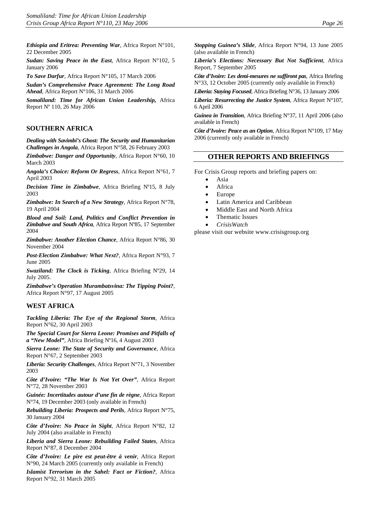*Ethiopia and Eritrea: Preventing War*, Africa Report N°101, 22 December 2005

*Sudan: Saving Peace in the East*, Africa Report N°102, 5 January 2006

*To Save Darfur*, Africa Report N°105, 17 March 2006

*Sudan's Comprehensive Peace Agreement: The Long Road Ahead*, Africa Report N°106, 31 March 2006

*Somaliland: Time for African Union Leadership,* Africa Report Nº 110, 26 May 2006

#### **SOUTHERN AFRICA**

*Dealing with Savimbi's Ghost: The Security and Humanitarian Challenges in Angola*, Africa Report N°58, 26 February 2003

*Zimbabwe: Danger and Opportunity*, Africa Report N°60, 10 March 2003

*Angola's Choice: Reform Or Regress*, Africa Report N°61, 7 April 2003

*Decision Time in Zimbabwe*, Africa Briefing Nº15, 8 July 2003

*Zimbabwe: In Search of a New Strategy*, Africa Report N°78, 19 April 2004

*Blood and Soil: Land, Politics and Conflict Prevention in Zimbabwe and South Africa*, Africa Report Nº85, 17 September 2004

*Zimbabwe: Another Election Chance*, Africa Report N°86, 30 November 2004

*Post-Election Zimbabwe: What Next?*, Africa Report N°93, 7 June 2005

*Swaziland: The Clock is Ticking*, Africa Briefing Nº29, 14 July 2005.

*Zimbabwe's Operation Murambatsvina: The Tipping Point?*, Africa Report N°97, 17 August 2005

#### **WEST AFRICA**

*Tackling Liberia: The Eye of the Regional Storm*, Africa Report N°62, 30 April 2003

*The Special Court for Sierra Leone: Promises and Pitfalls of a "New Model"*, Africa Briefing Nº16, 4 August 2003

*Sierra Leone: The State of Security and Governance*, Africa Report N°67, 2 September 2003

*Liberia: Security Challenges*, Africa Report N°71, 3 November 2003

*Côte d'Ivoire: "The War Is Not Yet Over"*, Africa Report N°72, 28 November 2003

*Guinée: Incertitudes autour d'une fin de règne*, Africa Report N°74, 19 December 2003 (only available in French)

*Rebuilding Liberia: Prospects and Perils*, Africa Report N°75, 30 January 2004

*Côte d'Ivoire: No Peace in Sight*, Africa Report N°82, 12 July 2004 (also available in French)

*Liberia and Sierra Leone: Rebuilding Failed States*, Africa Report N°87, 8 December 2004

*Côte d'Ivoire: Le pire est peut-être à venir*, Africa Report N°90, 24 March 2005 (currently only available in French)

*Islamist Terrorism in the Sahel: Fact or Fiction?*, Africa Report N°92, 31 March 2005

*Stopping Guinea's Slide*, Africa Report N°94, 13 June 2005 (also available in French)

*Liberia's Elections: Necessary But Not Sufficient*, Africa Report, 7 September 2005

*Côte d'Ivoire: Les demi-mesures ne suffiront pas*, Africa Briefing N°33, 12 October 2005 (currently only available in French)

*Liberia: Staying Focused*, Africa Briefing N°36, 13 January 2006

*Liberia: Resurrecting the Justice System*, Africa Report N°107, 6 April 2006

*Guinea in Transition*, Africa Briefing N°37, 11 April 2006 (also available in French)

*Côte d'Ivoire: Peace as an Option*, Africa Report N°109, 17 May 2006 (currently only available in French)

#### **OTHER REPORTS AND BRIEFINGS**

For Crisis Group reports and briefing papers on:

- Asia
- Africa
- Europe
- Latin America and Caribbean
- Middle East and North Africa
- Thematic Issues
- *CrisisWatch*

please visit our website [www.crisisgroup.org](http://www.crisisgroup.org/)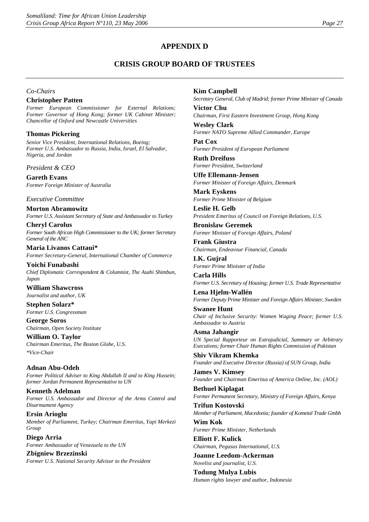## **APPENDIX D**

## **CRISIS GROUP BOARD OF TRUSTEES**

#### *Co-Chairs*

#### **Christopher Patten**

*Former European Commissioner for External Relations; Former Governor of Hong Kong; former UK Cabinet Minister; Chancellor of Oxford and Newcastle Universities* 

#### **Thomas Pickering**

*Senior Vice President, International Relations, Boeing; Former U.S. Ambassador to Russia, India, Israel, El Salvador, Nigeria, and Jordan* 

*President & CEO*

**Gareth Evans** *Former Foreign Minister of Australia*

#### *Executive Committee*

**Morton Abramowitz** *Former U.S. Assistant Secretary of State and Ambassador to Turkey*

**Cheryl Carolus** *Former South African High Commissioner to the UK; former Secretary General of the ANC*

**Maria Livanos Cattaui\*** *Former Secretary-General, International Chamber of Commerce*

**Yoichi Funabashi** *Chief Diplomatic Correspondent & Columnist, The Asahi Shimbun, Japan* 

**William Shawcross** *Journalist and author, UK*

**Stephen Solarz\*** *Former U.S. Congressman*

**George Soros** *Chairman, Open Society Institute*

**William O. Taylor** *Chairman Emeritus, The Boston Globe, U.S. \*Vice-Chair*

**Adnan Abu-Odeh** *Former Political Adviser to King Abdullah II and to King Hussein; former Jordan Permanent Representative to UN*

**Kenneth Adelman** *Former U.S. Ambassador and Director of the Arms Control and Disarmament Agency*

**Ersin Arioglu** *Member of Parliament, Turkey; Chairman Emeritus, Yapi Merkezi Group*

**Diego Arria** *Former Ambassador of Venezuela to the UN*

**Zbigniew Brzezinski** *Former U.S. National Security Advisor to the President*

#### **Kim Campbell**

*Secretary General, Club of Madrid; former Prime Minister of Canada*

**Victor Chu** *Chairman, First Eastern Investment Group, Hong Kong*

**Wesley Clark** *Former NATO Supreme Allied Commander, Europe*

**Pat Cox** *Former President of European Parliament*

**Ruth Dreifuss** *Former President, Switzerland*

**Uffe Ellemann-Jensen** *Former Minister of Foreign Affairs, Denmark*

**Mark Eyskens** *Former Prime Minister of Belgium*

**Leslie H. Gelb** *President Emeritus of Council on Foreign Relations, U.S.* 

**Bronislaw Geremek** *Former Minister of Foreign Affairs, Poland*

**Frank Giustra** *Chairman, Endeavour Financial, Canada*

**I.K. Gujral** *Former Prime Minister of India*

**Carla Hills** *Former U.S. Secretary of Housing; former U.S. Trade Representative*

**Lena Hjelm-Wallén** *Former Deputy Prime Minister and Foreign Affairs Minister, Sweden* 

**Swanee Hunt** *Chair of Inclusive Security: Women Waging Peace; former U.S. Ambassador to Austria*

**Asma Jahangir** *UN Special Rapporteur on Extrajudicial, Summary or Arbitrary Executions; former Chair Human Rights Commission of Pakistan*

**Shiv Vikram Khemka** *Founder and Executive Director (Russia) of SUN Group, India*

**James V. Kimsey**  *Founder and Chairman Emeritus of America Online, Inc. (AOL)*

**Bethuel Kiplagat** *Former Permanent Secretary, Ministry of Foreign Affairs, Kenya*

**Trifun Kostovski** *Member of Parliament, Macedonia; founder of Kometal Trade Gmbh* 

**Wim Kok** *Former Prime Minister, Netherlands*

**Elliott F. Kulick** *Chairman, Pegasus International, U.S.*

**Joanne Leedom-Ackerman** *Novelist and journalist, U.S.*

**Todung Mulya Lubis** *Human rights lawyer and author, Indonesia*